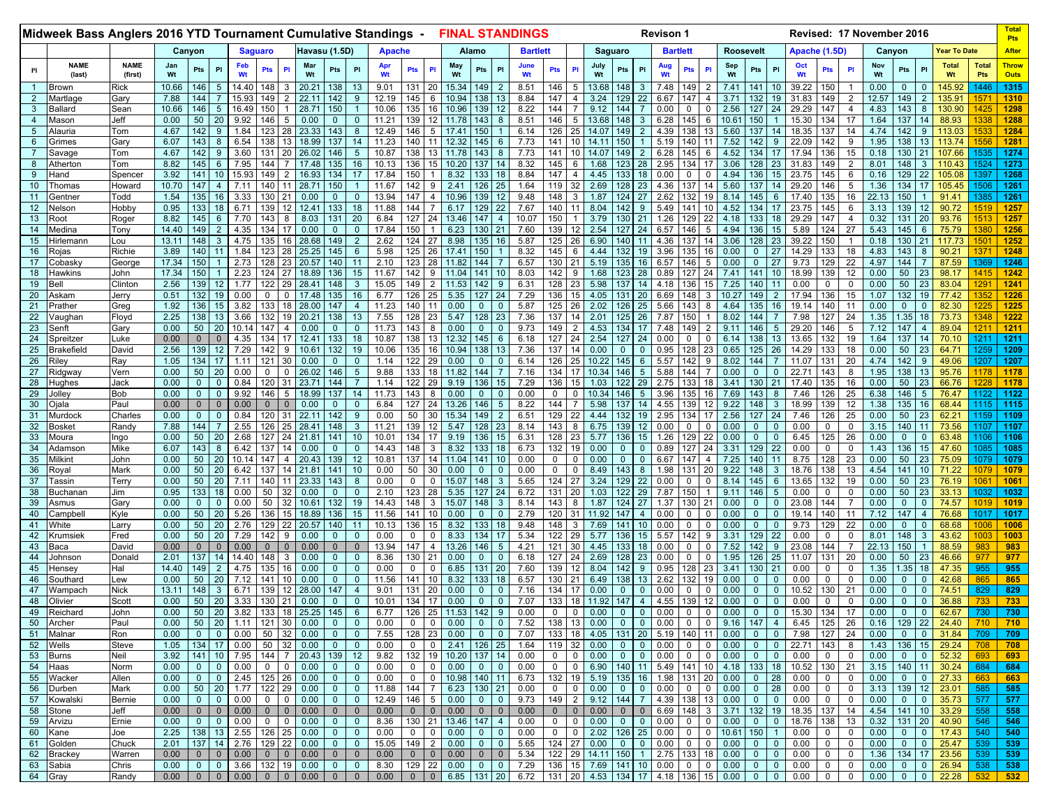|                     | Midweek Bass Anglers 2016 YTD Tournament Cumulative Standings -<br><b>FINAL STANDINGS</b> |                        |                           |                              |                                     |                           |                          |                    |                   |                              |                                  |                |                         |                            |                             |                          |                             | <b>Revison 1</b>                                                                         |                    |                       |                                                                        |                |                | Revised: 17 November 2016 |                 |                |                         |                                         |                             |                     |                              | Pts                                    |                   |                         |                            |                                      |                     |                             |
|---------------------|-------------------------------------------------------------------------------------------|------------------------|---------------------------|------------------------------|-------------------------------------|---------------------------|--------------------------|--------------------|-------------------|------------------------------|----------------------------------|----------------|-------------------------|----------------------------|-----------------------------|--------------------------|-----------------------------|------------------------------------------------------------------------------------------|--------------------|-----------------------|------------------------------------------------------------------------|----------------|----------------|---------------------------|-----------------|----------------|-------------------------|-----------------------------------------|-----------------------------|---------------------|------------------------------|----------------------------------------|-------------------|-------------------------|----------------------------|--------------------------------------|---------------------|-----------------------------|
|                     |                                                                                           |                        |                           | Canyon                       |                                     |                           | <b>Saguaro</b>           |                    |                   | Havasu (1.5D)                |                                  | <b>Apache</b>  |                         |                            |                             | Alamo                    |                             | <b>Bartlett</b>                                                                          |                    |                       | Saguaro                                                                |                |                | <b>Bartlett</b>           |                 |                | <b>Roosevelt</b>        |                                         |                             | Apache (1.5D)       |                              |                                        | Canyon            |                         |                            | <b>Year To Date</b>                  |                     | <b>After</b>                |
| Pl                  | <b>NAME</b><br>(last)                                                                     | <b>NAME</b><br>(first) | Jan<br>Wt                 | Pts                          | <b>PI</b>                           | Feb<br>Wt                 | <b>Pts</b>               | <b>PI</b>          | Mar<br>Wt         | Pts                          | PI                               | Apr<br>Wt      | Pts                     | P                          | May<br>Wt                   | Pts                      | PI                          | June<br>Wt                                                                               | <b>Pts</b>         | <b>PI</b>             | July<br>Wt                                                             | Pts            | <b>PI</b>      |                           | <b>Pts</b>      | PI             | Sep<br>Wt               | Pts                                     | PI                          | Oct                 | Pts                          |                                        | Nov<br>Wt         | Pts                     | PI                         | <b>Total</b><br>Wt                   | <b>Total</b><br>Pts | <b>Throw</b><br><b>Outs</b> |
| $\overline{1}$      | Brown                                                                                     | Rick                   | 10.66                     | 146                          | 5                                   | 14.40                     | 148                      |                    | 20.21             | 138                          | 13                               | 9.01           | 131                     | 20                         | 15.34                       | 149                      | 2                           | 8.51                                                                                     | 146                | 5                     | 13.68                                                                  | 148            | 3              | 7.48                      | 149             | 2              | 7.41                    | 141                                     | 10                          | 39.22               | 150                          |                                        | 0.00              | 0                       | $\mathbf{0}$               | 145.92                               | 1446                | 1315                        |
| $\overline{2}$      | Martlage                                                                                  | Gary                   | 7.88                      | 144                          |                                     | 15.93                     | 149                      |                    | 22.11             | 142                          | 9                                | 12.19          | 145                     | 6                          | 10.94                       | 138                      | 13                          | 8.84                                                                                     | 147                |                       | 3.24                                                                   | 129            | 22             | 6.67                      | 147             |                | 3.71                    | 132                                     | 19                          | 31.83               | 149                          | $\overline{2}$                         | 12.57             | 149                     | $\overline{2}$             | 135.91                               |                     | 1310                        |
| 3<br>$\overline{4}$ | 3allard                                                                                   | Sean<br>Jeff           | 10.66<br>0.00             | 146<br>50                    | 5<br>20                             | 16.49<br>9.92             | 150                      |                    | 28.71<br>0.00     | 150                          |                                  | 10.06          | 135<br>139              | 16                         | 10.96                       | 139<br>143               | 12<br>8                     | 8.22<br>8.51                                                                             | 144<br>146         | 5                     | 9.12<br>13.68                                                          | 144            | 3              | 0.00                      | $\Omega$        | $\Omega$<br>6  | 2.56                    | 127                                     | 24                          | 29.29<br>15.30      | 147<br>134                   | $\overline{\bf{4}}$<br>17              | 4.83<br>1.64      | 143<br>137              | 8<br>14                    | 130.90<br>88.93                      | 1425<br>133         | 1298<br>1288                |
| $5\phantom{.0}$     | Mason<br>lauria                                                                           | Tom                    | 4.67                      | 142                          |                                     | 1.84                      | 146<br>123               |                    | 23.33             | $\mathbf 0$<br>143           | $\mathbf 0$<br>8                 | 11.21<br>12.49 | 146                     | 5                          | 11.78<br>17.41              | 150                      |                             | 6.14                                                                                     | 126                |                       | 14.07                                                                  | 148            | -2             | 6.28<br>4.39              | 145<br>138      | 13             | 10.61<br>5.60           | 150<br>137                              | 14                          | 18.35               | 137                          | 14                                     | 4.74              | 142                     | 9                          | 113.03                               | 153                 | 1284                        |
| 6                   | Grimes                                                                                    | Gary                   | 6.07                      | 143                          |                                     | 6.54                      | 138                      | 13                 | 18.99             | 137                          | 14                               | 11.23          | 140                     | 11                         | 12.32                       | 145                      | 6                           | 7.73                                                                                     | 141                | 10                    | 14.11                                                                  | 150            |                | 5.19                      | 140             | 11             | 7.52                    | 142                                     | 9                           | 22.09               | 142                          | 9                                      | 1.95              | 138                     | 13                         | 113.74                               | 1556                | 1281                        |
|                     | iavaqe                                                                                    | Tom                    | 4.67                      | 142                          |                                     | 3.60                      | 131                      | 20                 | 26.02             | 146                          | 5                                | 10.87          | 138                     |                            | 11.78                       | 143                      | -8                          | 7.73                                                                                     | 141                |                       | 14.07                                                                  | 149.           | 2              | 6.28                      | 145             | 6              | 4.52                    | 134                                     | 17                          | 17.94               | 136                          | 15                                     | 0.18              | 130                     | 21                         | 107.66                               | 1535                | 1274                        |
| 8<br>9              | <b>\therton</b>                                                                           | Tom                    | 8.82<br>3.92              | 145<br>141                   |                                     | 7.95<br>15.93             | 144<br>149               |                    | 17.48<br>16.93    | 135                          | 16<br>17                         | 10.13          | 136<br>150              |                            | 10.20<br>8.32               | 137                      | 18                          | 8.32<br>8.84                                                                             | 145<br>147         |                       | 1.68<br>4.45                                                           |                | 28             | 2.95<br>0.00              | 134             | 17<br>$\Omega$ | 3.06<br>4.94            | 128                                     | 23                          | 31.83               | 149<br>145                   | 6                                      | 8.01<br>0.16      | 148<br>129              | 3                          | 110.43                               | 1524<br>1397        | 1273<br>1268                |
| 10                  | Hand<br>Thomas                                                                            | Spence<br>Howar        | 10.70                     | 147                          |                                     | 7.11                      | 140                      |                    | 28.71             | 134<br>150                   |                                  | 17.84<br>11.67 | 142                     | 9                          | 2.41                        | 133<br>126               | 25                          | 1.64                                                                                     | 119                | 32                    | 2.69                                                                   |                | 18<br>23       | 4.36                      | 137             | 14             | 5.60                    | 136<br>137                              | 15<br>14                    | 23.75<br>29.20      | 146                          | 5                                      | 1.36              | 134                     | 22<br>17                   | 105.08<br>105.45                     | 1506                | 1261                        |
| 11                  | Gentner                                                                                   | Todd                   | 1.54                      | 135                          | 16                                  | 3.33                      | 130                      | 21                 | 0.00              | $\mathbf{0}$                 | $\mathbf{0}$                     | 13.94          | 147                     | $\overline{\mathcal{A}}$   | 10.96                       | 139                      | 12                          | 9.48                                                                                     | 148                | 3                     | 1.87                                                                   | 124            | 27             | 2.62                      | 132             | 19             | 8.14                    | 145                                     | 6                           | 17.40               | 135                          | 16                                     | 22.13             | 150                     |                            | 91.41                                | 1385                | 1261                        |
| 12                  | √elson                                                                                    | <b>Hobby</b>           | 0.95                      | 133                          | 18                                  | 6.71                      | 139                      | 12                 | 12.41             | 133                          | 18                               | 11.88          | 144                     |                            | 6.17                        | 129                      | 22                          | 7.67                                                                                     | 140                | 11                    | 8.04                                                                   | 142            | -9             | 5.49                      | 141             | 10             | 4.52                    | 134                                     | 17                          | 23.75               | 145                          | 6                                      | 3.13              | 139                     | 12                         | 90.72                                | 1519                | 1257                        |
| 13<br>14            | Root<br>Medina                                                                            | Rogei<br>Tony          | 8.82<br>14.40             | 145<br>149                   | 6<br>$\overline{2}$                 | 7.70<br>4.35              | 143<br>134               | 17                 | 8.03<br>0.00      | 131<br>$\mathbf{0}$          | 20<br>$\mathbf 0$                | 6.84<br>17.84  | 127<br>150              | 24                         | 13.46<br>6.23               | 147<br>130               | $\overline{4}$<br>21        | 10.07<br>7.60                                                                            | 150<br>139         | 12                    | 3.79<br>2.54                                                           | 127            | 21<br>24       | 1.26<br>6.57              | 129<br>146      | 22             | 4.18<br>4.94            | 133<br>136                              | 18<br>15                    | 29.29<br>5.89       | 147<br>124                   | $\overline{4}$<br>27                   | 0.32<br>5.43      | 131<br>145              | 20<br>6                    | 93.76<br>75.79                       | 151<br>1380         | 1257<br>1256                |
| 15                  | Iirlemann                                                                                 | .ou                    | 13.11                     | 148                          |                                     | 4.75                      | 135                      | 16                 | 28.68             | 149                          | 2                                | 2.62           | 124 27                  |                            | 8.98                        | 135                      | 16                          | 5.87                                                                                     | 125                | 26                    | 6.90                                                                   | 140            | 11             | 4.36                      | 137             | 14             | 3.06                    | 128                                     | 23                          | 39.22               | 150                          |                                        | 0.18              | 130                     | 21                         | 117.73                               | 150                 | 1252                        |
| 16                  | ≀ojas                                                                                     | Richie                 | 3.89                      | 140                          |                                     | 1.84                      | 123                      | 28                 | 25.25             | 145                          | $6^{\circ}$                      | 5.98           | 125                     | 26                         | 17.41                       | 150                      |                             | 8.32                                                                                     | 145                |                       | 4.44                                                                   |                |                | 3.96                      | 135             | 16             | 0.00                    |                                         | 27                          | 14.29               | 133                          | 18                                     | 4.83              | 143                     | 8                          | 90.21                                | 137                 | 1248                        |
| 17                  | Cobasky                                                                                   | George                 | 17.34                     | 150                          |                                     | 2.73                      | 128                      | 23                 | 20.57             | 140                          | 11                               | 2.10           | 123                     | 28                         | 11.82                       | 144                      |                             | 6.57                                                                                     | 130                |                       | 5.19                                                                   | 135            | 16             | 6.57                      | 146             | 5              | 0.00                    |                                         | 27                          | 9.73                | 129                          | 22                                     | 4.97              | 144                     |                            | 87.59                                | 1369                | 1246                        |
| 18<br>19            | Hawkins<br>Bell                                                                           | John<br>Clinton        | 17.34<br>2.56             | 150<br>139                   | 12                                  | 2.23<br>1.77              | 124<br>122               | 27<br>29           | 18.89<br>28.41    | 136<br>148                   | 15<br>3                          | 11.67<br>15.05 | 142<br>149              | 9<br>$\overline{2}$        | 11.04<br>11.53              | 141<br>142               | 10<br>9                     | 8.03<br>6.31                                                                             | 142<br>128         | 9<br>23               | 1.68<br>5.98                                                           | 123            | 28<br>14       | 0.89<br>4.18              | 127<br>136      | 24<br>15       | 7.41<br>7.25            | 141<br>140                              | 10<br>11                    | 18.99<br>0.00       | 139<br>0                     | 12<br>$\Omega$                         | 0.00<br>0.00      | 50<br>50                | 23<br>23                   | 98.17<br>83.04                       | 141!<br>129         | 1242<br>1241                |
| 20                  | Askam                                                                                     | Jerry                  | 0.51                      | 132                          | 19                                  | 0.00                      |                          |                    | 17.48             | 135                          | 16                               | 6.77           | 126                     | 25                         | 5.35                        | 127                      | 24                          | 7.29                                                                                     | 136                | 15                    | 4.05                                                                   | 131            | 20             | 6.69                      | 148             | 3              | 10.27                   |                                         |                             | 17.94               | 136                          | 15                                     | 1.07              | 132                     | 19                         | 77.42                                | 135                 | 1226                        |
| 21                  | Prather                                                                                   | Greg                   | 1.92                      | 136                          | 15                                  | 3.82                      | 133                      |                    | 28.00             | 147                          | 4                                | 11.23          | 140                     | 11                         | 0.00                        | $\mathbf{0}$             | $\mathbf 0$                 | 5.87                                                                                     | 125                |                       | 2.02                                                                   | 126            | 25             | 5.66                      | 143             | 8              | 4.64                    | 135                                     | 16                          | 19.14               | 140                          | 11                                     | 0.00              | $\Omega$                | $\mathbf 0$                | 82.30                                | 122!                | 1225                        |
| 22                  | ∕aughan                                                                                   | Floyd                  | 2.25                      | 138                          | 13                                  | 3.66                      | 132                      | 19                 | 20.21             | 138                          | 13                               | 7.55           | 128                     | 23                         | 5.47                        | 128                      | 23                          | 7.36                                                                                     | 137                |                       | 2.01                                                                   | 125            | 26             | 7.87                      | 150             |                | 8.02                    | 144                                     |                             | 7.98                | 127                          | 24                                     | 1.35              | 1.35                    | 18                         | 73.73                                | 1348                | 1222                        |
| 23<br>24            | 3enft<br>Spreitzer                                                                        | Garv<br>_uke           | 0.00<br>0.00              | 50<br>$\mathbf{0}$           | 20                                  | 10.14<br>4.35             | 147<br>134               |                    | 0.00<br>12.41     | $\Omega$<br>133              | $\mathbf 0$<br>18                | 11.73<br>10.87 | 143<br>138              | 8<br>13                    | 0.00<br>12.32               | $\mathbf{0}$<br>145      | $\mathbf{0}$<br>-6          | 9.73<br>6.18                                                                             | 149<br>127         | $\overline{2}$<br>24  | 4.53<br>2.54                                                           | 134<br>127     | 17<br>24       | 7.48<br>0.00              | 149<br>0        | $\Omega$       | 9.11<br>6.14            | 146<br>138                              | 5<br>13                     | 29.20<br>13.65      | 146<br>132                   | 5<br>19                                | 7.12<br>1.64      | 147<br>137              | $\overline{4}$<br>14       | 89.04<br>70.10                       | 1211                | 1211<br>1211                |
| 25                  | <b>Brakefield</b>                                                                         | David                  | 2.56                      | 139                          | 12                                  | 7.29                      | 142                      |                    | 10.6 <sup>°</sup> | 132                          | 19                               | 10.06          | 135                     | 16                         | 10.94                       | 138                      | 13                          | 7.36                                                                                     | 137                |                       | 0.00                                                                   |                | $\Omega$       | 0.95                      | 128             | 23             | 0.65                    | 125                                     | 26                          | 14.29               | 133                          | 18                                     | 0.00              | 50                      | 23                         | 64.71                                | 1259                | 1209                        |
| 26                  | Rilev                                                                                     | Ray                    | 1.05                      | 134                          |                                     | 1.11                      | 121                      | 30                 | 0.00              | $\mathbf{0}$                 | $\mathbf{0}$                     | 1.14           | 122                     | 29                         | 0.00                        | $\mathbf{0}$             | $\mathbf{0}$                | 6.14                                                                                     | 126                |                       | 10.22                                                                  |                | 6              | 5.57                      | 142             | 9              | 8.02                    | 144                                     |                             | 11.07               | 131                          | 20                                     | 4.74              | 142                     | 9                          | 49.06                                | 1207                | 1207                        |
| 27                  | Ridgwa∖                                                                                   | Vern                   | 0.00                      | 50                           | 20                                  | 0.00                      | 0                        |                    | 26.02             | 146                          | 5                                | 9.88           | 133                     | 18                         | 11.82                       | 144                      |                             | 7.16                                                                                     | 134                | 17                    | 10.34                                                                  | 146            | 5              | 5.88                      | 144             |                | 0.00                    |                                         | $\Omega$                    | 22.71               | 143                          | 8                                      | 1.95              | 138                     | 13                         | 95.76                                | 1178<br>1228        | 1178                        |
| 28<br>29            | Hughes<br>Jolley                                                                          | Jack<br>Bob            | 0.00<br>0.00              | $\mathbf{0}$<br>$\mathbf{0}$ |                                     | 0.84<br>9.92              | 120<br>146               | 31<br>5            | 23.71<br>18.99    | 144<br>137                   | 14                               | 1.14<br>11.73  | 122<br>143              | 29<br>8                    | 9.19<br>0.00                | 136<br>$\mathbf{0}$      | 15<br>$\mathbf{0}$          | 7.29<br>0.00                                                                             | 136<br>$\mathbf 0$ | 15<br>$\Omega$        | 1.03<br>10.34                                                          | 122            | 29<br>-5       | 2.75<br>3.96              | 133<br>135      | 18<br>16       | 3.41<br>7.69            | 130<br>143                              | 21<br>8                     | 17.40<br>7.46       | 135<br>126                   | 16<br>25                               | 0.00<br>6.38      | 50<br>146               | 23<br>$5\phantom{.0}$      | 66.76<br>76.47                       | 1122                | 1178<br>1122                |
| 30                  | Djala                                                                                     | Paul                   | 0.00                      | $\mathbf{0}$                 |                                     | 0.00                      | $\Omega$                 |                    | 0.00              | $\Omega$                     | $\mathbf{0}$                     | 6.84           | 127                     | 24                         | 13.26                       | 146                      | 5                           | 8.22                                                                                     | 144                |                       | 5.98                                                                   | 137            | 14             | 4.55                      | 139             | 12             | 9.22                    | 148                                     | 3                           | 18.99               | 139                          | 12                                     | 1.38              | 135                     | 16                         | 68.44                                | 1115                | 1115                        |
| 31                  | Murdocl                                                                                   | Charles                | 0.00                      | 0                            |                                     | 0.84                      | 120                      | 31                 | 22.11             | 142                          | 9                                | 0.00           | 50                      | 30                         | 15.34                       | 149                      | $\overline{2}$              | 6.51                                                                                     | 129                | 22                    | 4.44                                                                   | 132            | 19             | 2.95                      | 134             | 17             | 2.56                    | 127                                     | 24                          | 7.46                | 126                          | 25                                     | 0.00              | 50                      | 23                         | 62.21                                | 1159                | 1109                        |
| 32<br>33            | 3osket                                                                                    | Rand∖                  | 7.88<br>0.00              | 144<br>50                    | 20                                  | 2.55<br>2.68              | 126<br>127               | 24                 | 28.41<br>21.81    | 148<br>141                   | 3                                | 11.21<br>10.01 | 139<br>134              |                            | 5.47                        | 128<br>136               | 23<br>15                    | 8.14<br>6.31                                                                             | 143<br>128         | -8<br>23              | 6.75<br>5.77                                                           | 139<br>136     |                | 0.00                      |                 | $\Omega$<br>22 | 0.00<br>0.00            |                                         |                             | 0.00<br>6.45        | 0<br>125                     | 26                                     | 3.15<br>0.00      | 140                     | 11<br>$\mathbf 0$          | 73.56<br>63.48                       | 1107<br>1106        | 1107<br>1106                |
| 34                  | ∕loura<br><b>\damsor</b>                                                                  | ngo<br>Mike            | 6.07                      | 143                          |                                     | 6.42                      | 137                      |                    | 0.00              |                              | 10<br>$\mathbf{0}$               | 14.43          | 148                     | 3                          | 9.19<br>8.32                | 133                      | 18                          | 6.73                                                                                     | 132                | 19                    | 0.00                                                                   |                | 15<br>$\Omega$ | 1.26<br>0.89              | 129<br>127      | 24             | 3.31                    | 129                                     | 22                          | 0.00                | 0                            |                                        | 1.43              | 136                     | 15                         | 47.60                                | 1085                | 1085                        |
| 35                  | Milkint                                                                                   | John                   | 0.00                      | 50                           | 20                                  | 10.14                     | 147                      |                    | 20.43             | 139                          | 12 <sup>2</sup>                  | 10.81          | 137                     | 14                         | 11.04                       | 141                      | 10                          | 0.00                                                                                     | $\mathbf 0$        | $\Omega$              | 0.00                                                                   |                | $\Omega$       | 6.67                      | 147             |                | 7.25                    | 140                                     | 11                          | 8.75                | 128                          | 23                                     | 0.00              | 50                      | 23                         | 75.09                                | 1079                | 1079                        |
| 36                  | रेoyal                                                                                    | Mark                   | 0.00                      | 50                           | 20                                  | 6.42                      | 137                      | 14                 | 21.8 <sup>′</sup> | 141                          | 10 <sup>1</sup>                  | 0.00           | 50                      | 30                         | 0.00                        | $\mathbf{0}$             | $\Omega$                    | 0.00                                                                                     | $\Omega$           |                       | 8.49                                                                   |                | 8              | 1.98                      | 131             | 20             | 9.22                    | 148                                     |                             | 18.76               | 38                           | 13                                     | 4.54              | 141                     | 10                         | 71.22                                | 1079                | 1079                        |
| 37<br>38            | assin<br>Buchanar                                                                         | Terry<br>Jim           | 0.00<br>0.95              | 50<br>133                    | 20<br>18                            | 7.11<br>0.00              | 140<br>50                | 32                 | 23.33<br>0.00     | 143<br>$\Omega$              | 8<br>$\mathbf 0$                 | 0.00<br>2.10   | 0<br>123                | $\Omega$<br>28             | 15.07<br>5.35               | 148<br>127               | 3<br>24                     | 5.65<br>6.72                                                                             | 124<br>131         | 27<br>20              | 3.24<br>1.03                                                           | 129            | 22<br>29       | 0.00<br>7.87              | 150             | $\Omega$       | 8.14<br>9.11            | 145<br>146                              | 6<br>5                      | 13.65<br>0.00       | 132<br>0                     | 19<br>$\mathbf 0$                      | 0.00<br>0.00      | 50<br>50                | 23<br>23                   | 76.19<br>33.13                       | 106<br>1032         | 1061<br>1032                |
| 39                  | <b>\smus</b>                                                                              | Garv                   | 0.00                      | $\Omega$                     | $\Omega$                            | 0.00                      | 50                       | 32                 | 10.61             | 132                          | 19                               | 14.43          | 148                     | 3                          | 15.07                       | 148                      | 3                           | 8.14                                                                                     | 143                | 8                     | 1.87                                                                   | 124            | 27             | 1.37                      | 130             | 21             | 0.00                    |                                         |                             | 23.08               | 144                          |                                        | 0.00              | $\mathbf{0}$            | $\mathbf 0$                | 74.57                                | 1019                | 1019                        |
| 40                  | ≿ampbell                                                                                  | (yle                   | 0.00                      | 50                           | 20                                  | 5.26                      | 136                      | 15                 | 18.89             | 136                          | 15 <sup>2</sup>                  | 11.56          | 141                     | 10                         | 0.00                        | $\mathbf{0}$             | $\Omega$                    | 2.79                                                                                     | 120                | 31                    |                                                                        |                |                | 0.00                      | $\Omega$        |                | 0.00                    |                                         | $\Omega$                    | 19.14               | 40                           | 11                                     | 7.12              | 147                     |                            | 76.68                                | 1017                | 1017                        |
| 41                  | Vhite                                                                                     | _arrv                  | 0.00                      | 50                           | 20                                  | 2.76                      | 129                      | 22                 | 20.57             | 140                          | 11                               | 10.13          | 136                     | 15                         | 8.32                        | 133                      | 18                          | 9.48                                                                                     | 148                |                       | 7.69                                                                   | 141            |                | 0.00                      |                 |                | 0.00                    |                                         |                             | 9.73                | 129                          | 22                                     | 0.00              |                         | $\Omega$                   | 68.68                                | 1006                | 1006                        |
| 42<br>43            | <rumsiek<br>Baca</rumsiek<br>                                                             | Fred<br>David          | 0.00<br>0.00              | 50<br>$\mathbf{0}$           | 20<br>$\Omega$                      | 7.29<br>0.00              | 142<br>$\Omega$          | 9                  | 0.00<br>0.00      | $\Omega$<br>$\mathbf{0}$     | $\mathbf{0}$<br>$\mathbf 0$      | 0.00<br>13.94  | $\mathbf{0}$<br>147     | $\Omega$<br>$\overline{4}$ | 8.33<br>13.26               | 134<br>146               | 17<br>5                     | 5.34<br>4.21                                                                             | 122<br>121         | 29<br>30              | 5.77<br>4.45                                                           | 136<br>133     | 15<br>18       | 5.57<br>0.00              | 142<br>$\Omega$ | 9<br>$\Omega$  | 3.31<br>7.52            | 129<br>142                              | 22<br>9                     | 0.00<br>23.08       | 0<br>144                     | 0                                      | 8.01<br>22.13     | 148<br>150              | 3                          | 43.62<br>88.59                       | 1003<br>983         | 1003<br>983                 |
| 44                  | lohnson                                                                                   | Donald                 | 2.01                      | 137                          |                                     | 14.40                     | 148                      | 3                  | 0.00              | $\Omega$                     | $\Omega$                         | 8.36           | 130                     | 21                         | 0.00                        | $\mathbf{0}$             | $\Omega$                    | 6.18                                                                                     | 127                | 24                    | 2.69                                                                   | 128            | 23             | 0.00                      | 0               | $\Omega$       | 1.95                    | 126                                     | 25                          | 11.07               | 131                          | 20                                     | 0.00              | 50                      | 23                         | 46.66                                | 977                 | 977                         |
| 45                  | lensey                                                                                    | Hal                    | 14.40                     | 149                          |                                     | 4.75                      | 135                      |                    | 0.00              |                              | $\Omega$                         | 0.00           | $\Omega$                |                            | 6.85                        | 131                      | 20                          | 7.60                                                                                     | 139                |                       | 8.04                                                                   |                | -9             | 0.95                      | 128             | 23             | 3.41                    | 130                                     | 21                          | 0.00                | 0                            |                                        | 1.35              | 1.35                    | 18                         | 47.35                                | 955                 | 955                         |
| 46                  | Southarc                                                                                  | _ew                    | 0.00                      | 50                           | 20                                  | 7.12                      | 141                      |                    | 0.00              | $\mathbf 0$                  | $\mathbf 0$<br>$\overline{4}$    | 11.56<br>9.01  | 141                     | 10                         | 8.32                        | 133<br>$\Omega$          | 18                          | 6.57                                                                                     | 130                | 21                    | 6.49                                                                   |                | $\Omega$       | 2.62                      | 132             | 19             | 0.00                    |                                         | $\mathbf 0$                 | 0.00                | 0                            | $\mathbf 0$                            | 0.00              | $\mathbf 0$<br>$\Omega$ | $\mathbf 0$                | 42.68                                | 865                 | 865                         |
| 47<br>48            | Vampach<br>Olivier                                                                        | Nick<br>Scott          | 13.11<br>0.00             | 148<br>50                    | 20                                  | 6.71<br>3.33              | 139<br>130               | 21                 | 28.00<br>0.00     | 147<br>$\mathbf{0}$          | $\mathbf 0$                      | 10.01          | 131<br>134              | 20<br>17                   | 0.00<br>0.00                | $\mathbf{0}$             | $\mathbf 0$<br>$\mathbf{0}$ | 7.16<br>7.07                                                                             | 134<br>133         | 17<br>18 <sup>1</sup> | 0.00<br>11.92                                                          | 147            | 4              | 0.00<br>4.55              | 139             | 12             | 0.00<br>0.00            | $\Omega$                                | $\Omega$                    | 10.52<br>0.00       | 130<br>0                     | 21<br>$\Omega$                         | 0.00<br>0.00      | $\mathbf 0$             | $\mathbf 0$<br>$\mathbf 0$ | 74.51<br>36.88                       | 829<br>733          | 829<br>733                  |
| 49                  | Reichard                                                                                  | John                   | 0.00                      | 50                           | 20                                  | 3.82                      | 133                      | 18                 | 25.25             | 145                          | 6                                | 6.77           | 126                     | 25                         | 11.53                       | 142                      | 9                           | 0.00                                                                                     | $\mathbf 0$        | $\mathbf{0}$          | 0.00                                                                   | $\overline{0}$ | 0 <sup>1</sup> | 0.00                      | 0               | $\mathbf 0$    | 0.00                    |                                         |                             | 15.30               | 134                          | 17                                     | 0.00              |                         | $\Omega$                   | 62.67                                | 730                 | 730                         |
|                     | 50 Archer                                                                                 | Paul                   | 0.00                      |                              |                                     | 50   20   1.11   121   30 |                          |                    | 0.00              | $\mathbf{0}$                 | $\mathbf{0}$                     | 0.00           | $0 \mid 0$              |                            | 0.00                        | $\overline{0}$           | $\overline{0}$              | 7.52                                                                                     |                    |                       | 138   13   0.00   0   0   0.00   0   0   9.16   147                    |                |                |                           |                 |                |                         |                                         | 4 <sup>1</sup>              | 6.45                | 125                          | 26                                     | $0.16$   129   22 |                         |                            | 24.40                                | 710                 | 710                         |
|                     | 51 Malnar<br>Wells                                                                        | Ron                    | 0.00 <sub>1</sub><br>1.05 | $\overline{0}$               | $\overline{0}$                      | 0.00<br>134 17 0.00 50 32 | 50                       | 32                 | 0.00              | $\mathbf{0}$<br>$\mathbf{0}$ | $\mathbf{0}$<br>$\overline{0}$   | 7.55<br>0.00   |                         |                            | 128 23 0.00                 | $\overline{0}$<br>126 25 | $\overline{0}$              | 7.07<br>1.64                                                                             |                    |                       | 133   18   4.05   131   20   5.19   140   11   0.00  <br>$119$ 32 0.00 |                |                | $0 \t 0 \t 0.00$          |                 |                |                         | $\overline{0}$                          | 0 <sup>1</sup>              | 7.98<br>$0$   22.71 | 127 24                       |                                        | 0.00              | $\overline{0}$          |                            | $0 \quad 31.84$<br>1.43 136 15 29.24 | 709<br>708          | 709<br>708                  |
| 52<br>53            | Burns                                                                                     | Steve<br>Neil          | 3.92                      |                              |                                     | 141 10 7.95 144           |                          | $\overline{7}$     | 0.00<br>20.43     | 139 12                       |                                  | 9.82           | $0 \quad 0$             |                            | 2.41<br>132 19 10.20 137 14 |                          |                             | 0.00                                                                                     |                    |                       | $0$ 0 0.00 0 0 0 0.00 0 0 0.00 0                                       |                |                |                           |                 |                | $0 \t 0 \t 0.00 \t 0$   |                                         | $0-1$                       | 0.00                | 143 8<br>$\mathbf{0}$        | $\overline{0}$                         | 0.00              |                         |                            | 0 0 52.32                            | 693                 | 693                         |
| 54                  | Haas                                                                                      | Norm                   | 0.00                      | $\overline{0}$               | $\overline{0}$                      | 0.00                      | $\overline{0}$           | $\overline{0}$     | 0.00              | $\mathbf{0}$                 | $\overline{0}$                   | 0.00           | $0 \mid 0$              |                            | 0.00                        | $0 \mid 0$               |                             | 0.00                                                                                     |                    |                       | $0 \mid 0 \mid 6.90 \mid 140 \mid 11 \mid 5.49 \mid 141 \mid 10 \mid$  |                |                |                           |                 |                | 4.18 133                |                                         | 18                          | 10.52               | 130 21                       |                                        |                   |                         |                            | $3.15$   140   11   30.24            | 684                 | 684                         |
|                     | 55 Wacker                                                                                 | Allen                  | 0.00 <sub>1</sub>         | 0 <sup>1</sup>               | $\overline{0}$                      |                           | 2.45 125 26              |                    | 0.00              | $\mathbf{0}$                 | $\overline{0}$                   | 0.00           | $0 \mid 0$              |                            | 10.98                       | $140$ 11                 |                             | 6.73                                                                                     |                    |                       | 132   19   5.19   135   16   1.98   131   20                           |                |                |                           |                 |                | 0.00                    | $\mathbf 0$                             | 28                          | 0.00                | $\mathbf{0}$                 | $\mathbf 0$                            | 0.00              | $\overline{0}$          |                            | $0 \quad 27.33$                      | 663                 | 663                         |
|                     | 56 Durben<br>57 Kowalski                                                                  | Mark<br>Bernie         | 0.00 <sub>1</sub><br>0.00 | $\overline{0}$               | $50 \mid 20 \mid$<br>$\overline{0}$ | 0.00                      | $1.77$ 122 29<br>$\circ$ | $\mathbf{0}$       | 0.00<br>0.00      | $\mathbf{0}$<br>$\mathbf{0}$ | $\mathbf{0}$<br>$\mathbf 0$      | 11.88<br>12.49 | 144 7<br>146 5          |                            | $6.23$   130   21<br>0.00   | $0$ 0                    |                             | 0.00<br>9.73                                                                             |                    |                       | $0$ 0 0 0.00 0 0 0.00<br>149 2 9.12 144 7 4.39 138 13                  |                |                |                           | $\circ$         | $\mathbf{0}$   | 0.00<br>0.00            | $\mathbf{0}$<br>$\overline{\mathbf{0}}$ | 28<br>$\mathbf{0}$          | 0.00<br>0.00        | $\mathbf{0}$<br>$\mathbf{0}$ | $\mathbf 0$<br>$\overline{\mathbf{0}}$ | 0.00              | $\overline{\mathbf{0}}$ | $\overline{\mathbf{0}}$    | $3.13$   139   12   23.01<br>35.73   | 585<br>577          | 585<br>577                  |
| 58                  | Stone                                                                                     | Jeff                   | 0.00                      | $\overline{0}$               | $\overline{0}$                      | 0.00                      | $\overline{0}$           | $\mathbf{0}$       | 0.00              | $\mathbf 0$                  | $\overline{0}$                   | 0.00           | $0 \mid 0$              |                            | 0.00                        | $0$   0                  |                             | 0.00                                                                                     |                    |                       | 0 0 0 0.00                                                             | $\overline{0}$ |                |                           |                 |                | $0$ 6.69 148 3 3.71 132 |                                         | 19                          | 18.35               | 137 14                       |                                        |                   |                         |                            | 4.54 141 10 33.29                    | 558                 | 558                         |
|                     | 59 Arvizu                                                                                 | Ernie                  | 0.00                      | $\overline{0}$               | $\overline{0}$                      | 0.00                      | 0 <sub>0</sub>           | $\mathbf{0}$       | 0.00              | $\overline{0}$               | $\overline{0}$                   | 8.36           |                         |                            | 130 21 13.46                | $147 \quad 4$            |                             | 0.00                                                                                     |                    |                       | $0 \t 0 \t 0.00$                                                       |                |                | 0 0 0 0.00                | 0               | $\mathbf{0}$   | 0.00                    | $\overline{0}$                          | 0 <sup>1</sup>              | 18.76               | 138 13                       |                                        | $0.32$   131   20 |                         |                            | 40.90                                | 546                 | 546                         |
| 60                  | Kane                                                                                      | Joe                    | 2.25                      |                              | $138$ 13                            | 2.55 126 25               |                          |                    | 0.00              | $\mathbf{0}$                 | $\mathbf{0}$                     | 0.00           | $0 \mid 0$              |                            | 0.00                        | $\overline{0}$           | $\overline{0}$              | 0.00                                                                                     | $\overline{0}$     |                       | $0 \mid 2.02$                                                          |                |                | 126 25 0.00               | $\overline{0}$  | $\mathbf{0}$   | 10.61 150               |                                         |                             | 0.00                | $\mathbf{0}$                 | $\mathbf 0$                            | 0.00              | $\overline{0}$          | 0 <sup>1</sup>             | 17.43                                | 540                 | 540                         |
| 61<br>62            | Golden<br>Brackey                                                                         | Chuck<br>Warren        | 2.01<br>0.00              | $\mathbf{0}$                 | 137 14<br>$\overline{0}$            | 2.76 129<br>0.00          | $\overline{0}$           | 22<br>$\mathbf{0}$ | 0.00<br>0.00      | $\mathbf{0}$<br>$\mathbf{0}$ | $\overline{0}$<br>$\overline{0}$ | 15.05<br>0.00  | 149 2<br>0 <sup>1</sup> | $\mathbf{0}$               | 0.00<br>0.00                | $0$   0<br>$0 \mid 0$    |                             | 5.65<br>5.34                                                                             |                    |                       | 124 27 0.00<br>122   29   14.11   150   1   2.75   133   18   0.00   0 |                |                | $0 \t 0 \t 0.00$          | $\overline{0}$  | $\mathbf{0}$   | 0.00                    | $\overline{\mathbf{0}}$                 | $\mathbf 0$<br>$\mathbf{0}$ | 0.00<br>0.00        | $\mathbf{0}$<br>$0 \mid 0$   | $\mathbf 0$                            | 0.00<br>1.36      | $\overline{0}$          | $\overline{0}$             | 25.47<br>134 17 23.56                | 539<br>539          | 539<br>539                  |
| 63                  | Sabia                                                                                     | Chris                  | 0.00 <sub>1</sub>         | $\mathbf{0}$                 | $\overline{0}$                      |                           | 3.66 132                 | 19                 | 0.00              | $\mathbf{0}$                 | $\overline{0}$                   | 8.30           |                         |                            | $129$ 22 0.00               | $0$ 0                    |                             | 7.29                                                                                     |                    |                       | 136 15 7.69 141 10 0.00                                                |                |                |                           | 0               | $\overline{0}$ | 0.00                    | $\mathbf{0}$                            | $\overline{0}$              | 0.00                | 0 <sup>1</sup>               | $\overline{\mathbf{0}}$                | 0.00              |                         |                            | $0 \t 0 \t 26.94$                    | 538                 | 538                         |
|                     | 64 Gray                                                                                   | Randy                  | 0.00                      | 0 <sup>1</sup>               |                                     | $0 \mid 0.00 \mid$        | 0                        |                    | $0 \mid 0.00$     | $\overline{0}$               | 0                                | 0.00           |                         |                            |                             |                          |                             | 0   0   6.85   131   20   6.72   131   20   4.53   134   17   4.18   136   15   0.00   0 |                    |                       |                                                                        |                |                |                           |                 |                |                         |                                         | 0 <sup>1</sup>              | 0.00                | 0                            | $\mathbf{0}$                           |                   |                         |                            | $0.00$ 0 0 22.28                     | 532                 | 532                         |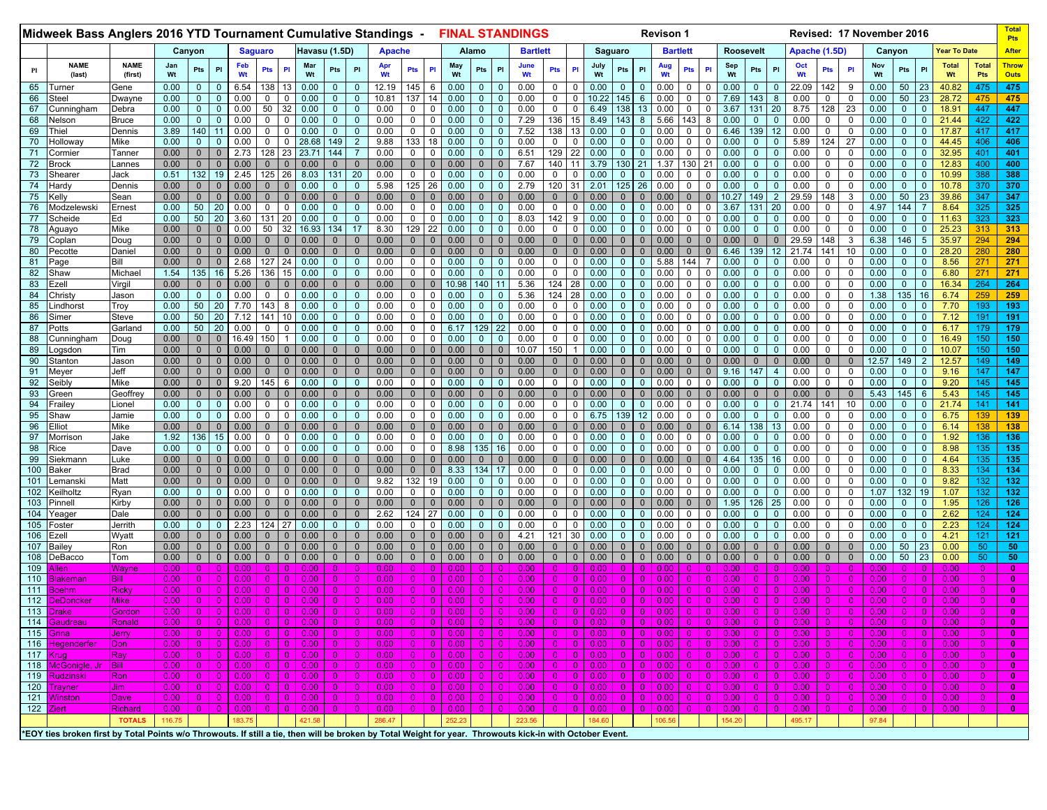|            | Midweek Bass Anglers 2016 YTD Tournament Cumulative Standings -                                                                                                                                                                                                                                                                                                                                                                                                                                                                                                                                                                                                                                                           |                        |                   |                             |                                                                                                                        |              |                           |                             |                              |               |                            |                              |                |                              |                              |              |                              |                            | <b>FINAL STANDINGS</b> |                             |                                                     |               |                      |                            | <b>Revison 1</b>   |                            |                            |                           |                              |                                 | Revised: 17 November 2016 |                          |                      |              |                             |                            |                    |                      | Total<br><b>Pts</b>         |
|------------|---------------------------------------------------------------------------------------------------------------------------------------------------------------------------------------------------------------------------------------------------------------------------------------------------------------------------------------------------------------------------------------------------------------------------------------------------------------------------------------------------------------------------------------------------------------------------------------------------------------------------------------------------------------------------------------------------------------------------|------------------------|-------------------|-----------------------------|------------------------------------------------------------------------------------------------------------------------|--------------|---------------------------|-----------------------------|------------------------------|---------------|----------------------------|------------------------------|----------------|------------------------------|------------------------------|--------------|------------------------------|----------------------------|------------------------|-----------------------------|-----------------------------------------------------|---------------|----------------------|----------------------------|--------------------|----------------------------|----------------------------|---------------------------|------------------------------|---------------------------------|---------------------------|--------------------------|----------------------|--------------|-----------------------------|----------------------------|--------------------|----------------------|-----------------------------|
|            |                                                                                                                                                                                                                                                                                                                                                                                                                                                                                                                                                                                                                                                                                                                           |                        |                   | Canyon                      |                                                                                                                        |              | <b>Saguaro</b>            |                             |                              | Havasu (1.5D) |                            |                              | <b>Apache</b>  |                              |                              |              | Alamo                        |                            | <b>Bartlett</b>        |                             |                                                     |               | Saguaro              |                            | <b>Bartlett</b>    |                            |                            |                           | Roosevelt                    |                                 | Apache (1.5D)             |                          |                      |              | Canyon                      |                            | Year To Date       |                      | <b>After</b>                |
| Pl         | <b>NAME</b><br>(last)                                                                                                                                                                                                                                                                                                                                                                                                                                                                                                                                                                                                                                                                                                     | <b>NAME</b><br>(first) | Jan<br>Wt         | Pts                         | PI                                                                                                                     |              | Feb<br>Wt                 | Pts                         | PI                           | Mar<br>Wt     | Pts                        | PI                           | Apr<br>Wt      | Pts                          | PI                           | May<br>Wt    | Pts                          | PI                         | June<br>Wt             | Pts                         | <b>PI</b>                                           | July<br>Wt    | Pts                  | PI                         | Aug<br>Wt          | Pts                        | PI                         | Sep<br>Wt                 | Pts                          | PI                              | Oct<br>Wt                 | <b>Pts</b>               | PI                   | Nov<br>Wt    | Pts                         | PI                         | <b>Total</b><br>Wt | <b>Total</b><br>Pts  | <b>Throw</b><br><b>Outs</b> |
| 65         | Turner                                                                                                                                                                                                                                                                                                                                                                                                                                                                                                                                                                                                                                                                                                                    | Gene                   | 0.00              | $\mathbf{0}$                | $\Omega$                                                                                                               | 6.54         |                           | 138                         |                              | 0.00          | $\mathbf 0$                | $\Omega$                     | 12.19          | 145                          | 6                            | 0.00         | $\mathbf{0}$                 |                            | 0.00                   | 0                           | $\mathbf{0}$                                        | 0.00          | $\Omega$             | $\Omega$                   | 0.00               | 0                          | 0                          | 0.00                      | $\mathbf 0$                  | $\mathbf 0$                     | 22.09                     | 142                      | 9                    | 0.00         | 50                          | 23                         | 40.82              | 475                  | 475                         |
| 66         | Steel                                                                                                                                                                                                                                                                                                                                                                                                                                                                                                                                                                                                                                                                                                                     | Dwayne                 | 0.00              | $\mathbf{0}$                | $\Omega$                                                                                                               | 0.00         |                           | $\mathbf 0$                 |                              | 0.00          | $\mathbf{0}$               | $\Omega$                     | 10.81          | 137                          |                              | 0.00         | $\Omega$                     |                            | 0.00                   | 0                           | $\Omega$                                            | 10.22         | 145                  | 6                          | 0.00               | $\mathbf 0$                |                            | 7.69                      | 143                          | 8                               | 0.00                      | 0                        | 0                    | 0.00         | 50                          | 23                         | 28.72              | 475                  | 475                         |
| 67         | Cunningham                                                                                                                                                                                                                                                                                                                                                                                                                                                                                                                                                                                                                                                                                                                | Debra                  | 0.00              | $\mathbf 0$                 | $\Omega$                                                                                                               | 0.00         |                           | 50                          | 32                           | 0.00          | $\mathbf{0}$               | $\Omega$                     | 0.00           | $\mathbf 0$                  | 0                            | 0.00         | $\Omega$                     | $\Omega$                   | 0.00                   | 0                           | 0                                                   | 6.49          | 138                  |                            | 0.00               | 0                          | $\Omega$                   | 3.67                      | 131                          | 20                              | 8.75                      | 128                      | 23                   | 0.00         | $\mathbf{0}$                | $\mathbf 0$                | 18.91              | 447                  | 447                         |
| 68         | Nelson                                                                                                                                                                                                                                                                                                                                                                                                                                                                                                                                                                                                                                                                                                                    | <b>Bruce</b>           | 0.00              | $\mathbf{0}$                | $\mathbf{0}$                                                                                                           | 0.00         |                           | 0<br>$\Omega$               | $\mathbf{0}$<br>$\mathbf 0$  | 0.00          | $\mathbf 0$<br>$\Omega$    | $\mathbf{0}$<br>$\Omega$     | 0.00<br>0.00   | $\mathbf{0}$<br>$\mathbf{0}$ | 0                            | 0.00         | $\mathbf{0}$                 | $\mathbf{0}$<br>$\Omega$   | 7.29<br>7.52           | 136                         | 15                                                  | 8.49          | 143<br>$\Omega$      | 8<br>$\Omega$              | 5.66               | 143<br>$\Omega$            | 8<br>$\Omega$              | 0.00                      | $\mathbf 0$                  | $\mathbf{0}$                    | 0.00                      | 0<br>0                   | 0                    | 0.00<br>0.00 | $\mathbf{0}$                | $\mathbf 0$                | 21.44              | 422<br>417           | 422                         |
| 69<br>70   | hiel <sup>-</sup><br>Hollowa∖                                                                                                                                                                                                                                                                                                                                                                                                                                                                                                                                                                                                                                                                                             | Dennis<br>Mike         | 3.89<br>0.00      | 140<br>$\mathbf{0}$         | 11                                                                                                                     | 0.00<br>0.00 |                           | 0                           | $\mathbf{0}$                 | 0.00<br>28.68 | 149                        | $\overline{2}$               | 9.88           | 133                          | 0<br>18                      | 0.00<br>0.00 | $\mathbf{0}$<br>$\mathbf{0}$ |                            | 0.00                   | 138<br>$\mathbf{0}$         | 13<br>$\Omega$                                      | 0.00<br>0.00  |                      | 0                          | 0.00<br>0.00       | 0                          | $\Omega$                   | 6.46<br>0.00              | 139<br>$\mathbf 0$           | 12 <sup>2</sup><br>$\mathbf 0$  | 0.00<br>5.89              | 124                      | 0<br>27              | 0.00         | $\mathbf 0$<br>$\mathbf 0$  | $\mathbf 0$<br>$\mathbf 0$ | 17.87<br>44.45     | 406                  | 417<br>406                  |
| 71         | Cormier                                                                                                                                                                                                                                                                                                                                                                                                                                                                                                                                                                                                                                                                                                                   | Tanneı                 | 0.00              | $\mathbf 0$                 | $\mathbf{0}$                                                                                                           | 2.73         |                           | 128                         | 23                           | 23.7'         | 144                        |                              | 0.00           | $\mathbf{0}$                 | 0                            | 0.00         | $\mathbf{0}$                 | $\mathbf 0$                | 6.51                   | 129                         | 22                                                  | 0.00          | $\Omega$             | 0                          | 0.00               | $\mathbf 0$                | 0                          | 0.00                      | $\mathbf{0}$                 | $\mathbf 0$                     | 0.00                      | 0                        | 0                    | 0.00         | $\mathbf 0$                 | $\mathbf 0$                | 32.95              | 401                  | 401                         |
| 72         | Brock                                                                                                                                                                                                                                                                                                                                                                                                                                                                                                                                                                                                                                                                                                                     | Lannes                 | 0.00              | $\mathbf 0$                 | $\mathbf{0}$                                                                                                           | 0.00         |                           | $\mathbf 0$                 | $\mathbf{0}$                 | 0.00          | $\mathbf{0}$               | $\mathbf 0$                  | 0.00           | $\overline{0}$               | $\mathbf{0}$                 | 0.00         | $\mathbf{0}$                 | $\Omega$                   | 7.67                   | 140                         |                                                     | 3.79          | 130                  | 21                         | 1.37               | 130                        | 21                         | 0.00                      | $\Omega$                     | $\mathbf{0}$                    | 0.00                      | 0                        | 0                    | 0.00         | $\mathbf 0$                 | $\mathbf 0$                | 12.83              | 400                  | 400                         |
| 73         | Shearer                                                                                                                                                                                                                                                                                                                                                                                                                                                                                                                                                                                                                                                                                                                   | Jack                   | 0.51              | 132                         | 19                                                                                                                     | 2.45         |                           | 125                         | 26                           | 8.03          | 131                        | 20                           | 0.00           | $\mathbf{0}$                 | 0                            | 0.00         | $\mathbf 0$                  | 0                          | 0.00                   | 0                           | $\Omega$                                            | 0.00          | $\mathbf{0}$         | $\Omega$                   | 0.00               | $\mathbf 0$                | $\Omega$                   | 0.00                      | $\mathbf{0}$                 | $\mathbf 0$                     | 0.00                      | 0                        | 0                    | 0.00         | $\mathbf 0$                 | $\mathbf 0$                | 10.99              | 388                  | 388                         |
| 74         | Hardy                                                                                                                                                                                                                                                                                                                                                                                                                                                                                                                                                                                                                                                                                                                     | Dennis                 | 0.00              | $\mathbf{0}$                | $\Omega$                                                                                                               | 0.00         |                           | $\Omega$                    | $\mathbf{0}$                 | 0.00          | $\mathbf 0$                | $\Omega$                     | 5.98           | 125                          | 26                           | 0.00         | $\Omega$                     | $\Omega$                   | 2.79                   | 120                         | 31                                                  | 2.01          | 125                  | 26                         | 0.00               | $\Omega$                   | $\Omega$                   | 0.00                      | $\Omega$                     | $\Omega$                        | 0.00                      | 0                        | $\Omega$             | 0.00         | $\mathbf{0}$                | $\mathbf 0$                | 10.78              | 370                  | 370                         |
| 75         | <ellv< td=""><td>Sean</td><td>0.00</td><td><math>\mathbf 0</math></td><td><math>\Omega</math></td><td>0.00</td><td></td><td><math>\Omega</math></td><td></td><td>0.00</td><td><math>\mathbf 0</math></td><td><math>\mathbf{0}</math></td><td>0.00</td><td><math>\overline{0}</math></td><td><math>\mathbf{0}</math></td><td>0.00</td><td><math>\Omega</math></td><td></td><td>0.00</td><td><math>\mathbf{0}</math></td><td><math>\Omega</math></td><td>0.00</td><td></td><td>0</td><td>0.00</td><td></td><td><math>\mathbf 0</math></td><td>10.27</td><td>149</td><td><math>\overline{2}</math></td><td>29.59</td><td>148</td><td>3</td><td>0.00</td><td>50</td><td>23</td><td>39.86</td><td>347</td><td>347</td></ellv<> | Sean                   | 0.00              | $\mathbf 0$                 | $\Omega$                                                                                                               | 0.00         |                           | $\Omega$                    |                              | 0.00          | $\mathbf 0$                | $\mathbf{0}$                 | 0.00           | $\overline{0}$               | $\mathbf{0}$                 | 0.00         | $\Omega$                     |                            | 0.00                   | $\mathbf{0}$                | $\Omega$                                            | 0.00          |                      | 0                          | 0.00               |                            | $\mathbf 0$                | 10.27                     | 149                          | $\overline{2}$                  | 29.59                     | 148                      | 3                    | 0.00         | 50                          | 23                         | 39.86              | 347                  | 347                         |
| 76         | Modzelewski                                                                                                                                                                                                                                                                                                                                                                                                                                                                                                                                                                                                                                                                                                               | Ernest                 | 0.00              | 50                          | 20                                                                                                                     | 0.00         |                           | 0                           | $\mathbf 0$                  | 0.00          | 0                          | $\Omega$                     | 0.00           | $\mathbf{0}$                 | 0                            | 0.00         | $\mathbf{0}$                 | $\mathbf 0$                | 0.00                   | 0                           | $\mathbf{0}$                                        | 0.00          | $\mathbf{0}$         |                            | 0.00               | 0                          | $\Omega$                   | 3.67                      | 131                          | 20                              | 0.00                      | 0                        | 0                    | 4.97         | 144                         |                            | 8.64               | 325                  | 325                         |
| 77         | Scheide                                                                                                                                                                                                                                                                                                                                                                                                                                                                                                                                                                                                                                                                                                                   | Ed                     | 0.00              | 50                          | 20                                                                                                                     | 3.60         |                           | 131                         | 20                           | 0.00          |                            | $\Omega$                     | 0.00           | $\mathbf{0}$                 | $\Omega$                     | 0.00         | $\Omega$                     | $\Omega$                   | 8.03                   | 142                         | 9                                                   | 0.00          |                      | 0                          | 0.00               | $\Omega$                   | $\Omega$                   | 0.00                      | $\Omega$                     | $\mathbf 0$                     | 0.00                      | 0                        | $\mathbf 0$          | 0.00         | $\mathbf 0$                 | $\mathbf 0$                | 11.63              | 323                  | 323                         |
| 78         | Aguayo                                                                                                                                                                                                                                                                                                                                                                                                                                                                                                                                                                                                                                                                                                                    | Mike                   | 0.00              | $\mathbf{0}$                |                                                                                                                        | 0.00         |                           | 50                          | 32                           | 16.93         | 134                        | 17                           | 8.30           | 129                          | 22                           | 0.00         | $\Omega$                     |                            | 0.00                   | 0                           |                                                     | 0.00          |                      |                            | 0.00               |                            | $\Omega$                   | 0.00                      | $\mathbf 0$                  | $\mathbf 0$                     | 0.00                      | 0                        | $\Omega$             | 0.00         | $\mathbf 0$                 | $\mathbf{0}$               | 25.23              | 313                  | 313                         |
| 79<br>80   | Coplan                                                                                                                                                                                                                                                                                                                                                                                                                                                                                                                                                                                                                                                                                                                    | Doug<br>Daniel         | 0.00<br>0.00      | $\mathbf 0$<br>$\mathbf{0}$ | $\mathbf{0}$<br>$\Omega$                                                                                               | 0.00<br>0.00 |                           | $\mathbf 0$<br>$\mathbf{0}$ | $\mathbf{0}$<br>$\mathbf{0}$ | 0.00<br>0.00  | $\mathbf{0}$<br>0          | $\Omega$<br>$\mathbf{0}$     | 0.00<br>0.00   | $\mathbf{0}$<br>$\mathbf{0}$ | $\mathbf{0}$<br>$\mathbf{0}$ | 0.00<br>0.00 | $\mathbf 0$<br>$\Omega$      |                            | 0.00<br>0.00           | $\mathbf 0$<br>$\mathbf{0}$ | $\Omega$<br>$\Omega$                                | 0.00<br>0.00  |                      | $\Omega$                   | 0.00<br>0.00       | $\mathbf 0$                | $\mathbf 0$<br>$\Omega$    | 0.00<br>6.46              | $\mathbf{0}$<br>139          | $\mathbf{0}$<br>12 <sup>2</sup> | 29.59<br>21.74            | 148<br>141               | 3<br>10              | 6.38<br>0.00 | 146<br>$\mathbf 0$          | 5<br>$\mathbf 0$           | 35.97<br>28.20     | 294<br>280           | 294<br>280                  |
| 81         | Pecotte<br>Page                                                                                                                                                                                                                                                                                                                                                                                                                                                                                                                                                                                                                                                                                                           | Bill                   | 0.00              | $\mathbf 0$                 | $\mathbf{0}$                                                                                                           | 2.68         |                           | 127                         | 24                           | 0.00          | $\mathbf{0}$               | $\mathbf{0}$                 | 0.00           | $\mathbf 0$                  | 0                            | 0.00         | $\mathbf 0$                  |                            | 0.00                   | 0                           | $\Omega$                                            | 0.00          | $\Omega$             | 0                          | 5.88               | 144                        |                            | 0.00                      | $\mathbf{0}$                 | $\mathbf 0$                     | 0.00                      | 0                        | 0                    | 0.00         | $\mathbf{0}$                | $\mathbf 0$                | 8.56               | 271                  | 271                         |
| 82         | Shaw                                                                                                                                                                                                                                                                                                                                                                                                                                                                                                                                                                                                                                                                                                                      | Michae                 | 1.54              | 135                         | 16                                                                                                                     | 5.26         |                           | 136                         | 15                           | 0.00          | $\Omega$                   | $\Omega$                     | 0.00           | $\mathbf{0}$                 | $\Omega$                     | 0.00         |                              |                            | 0.00                   | 0                           |                                                     | 0.00          |                      |                            | 0.00               | $\Omega$                   |                            | 0.00                      | $\Omega$                     | $\mathbf{0}$                    | 0.00                      | 0                        | $\Omega$             | 0.00         | $\Omega$                    | $\overline{0}$             | 6.80               | 271                  | 271                         |
| 83         | Ezell                                                                                                                                                                                                                                                                                                                                                                                                                                                                                                                                                                                                                                                                                                                     | Virgil                 | 0.00              | $\mathbf 0$                 |                                                                                                                        | 0.00         |                           | $\Omega$                    |                              | 0.00          | $\mathbf 0$                | $\mathbf{0}$                 | 0.00           | $\overline{0}$               | $\mathbf{0}$                 | 10.98        | 140                          | 11                         | 5.36                   | 124                         | 28                                                  | 0.00          |                      |                            | 0.00               | 0                          | $\Omega$                   | 0.00                      | $\Omega$                     | $\mathbf 0$                     | 0.00                      | 0                        | $\Omega$             | 0.00         | $\mathbf{0}$                | $\mathbf 0$                | 16.34              | 264                  | 264                         |
| 84         | Christy                                                                                                                                                                                                                                                                                                                                                                                                                                                                                                                                                                                                                                                                                                                   | Jason                  | 0.00              | $\mathbf{0}$                | $\mathbf{0}$                                                                                                           | 0.00         |                           | 0                           | $\mathbf{0}$                 | 0.00          | 0                          | $\Omega$                     | 0.00           | $\mathbf 0$                  | 0                            | 0.00         | $\mathbf{0}$                 | $\Omega$                   | 5.36                   | 124                         | 28                                                  | 0.00          | $\Omega$             |                            | 0.00               | $\mathbf 0$                | 0                          | 0.00                      | $\mathbf{0}$                 | $\mathbf 0$                     | 0.00                      | 0                        | 0                    | 1.38         | 135                         | 16                         | 6.74               | 259                  | 259                         |
| 85         | .indhorst                                                                                                                                                                                                                                                                                                                                                                                                                                                                                                                                                                                                                                                                                                                 | Troy                   | 0.00              | 50                          | 20                                                                                                                     | 7.70         |                           | 143                         | 8                            | 0.00          | 0                          | $\Omega$                     | 0.00           | $\mathbf{0}$                 | 0                            | 0.00         | $\Omega$                     | $\Omega$                   | 0.00                   | 0                           | $\Omega$                                            | 0.00          |                      | $\Omega$                   | 0.00               | $\Omega$                   | $\Omega$                   | 0.00                      | $\mathbf{0}$                 | $\mathbf 0$                     | 0.00                      | $\Omega$                 | $\Omega$             | 0.00         | $\mathbf{0}$                | $\mathbf 0$                | 7.70               | 193                  | 193                         |
| 86         | Simer                                                                                                                                                                                                                                                                                                                                                                                                                                                                                                                                                                                                                                                                                                                     | Steve                  | 0.00              | 50                          | 20                                                                                                                     | 7.12         |                           | 141                         | 10                           | 0.00          | $\Omega$                   | $\Omega$                     | 0.00           | $\mathbf 0$                  | $\Omega$                     | 0.00         | $\Omega$                     |                            | 0.00                   | $\mathbf{0}$                |                                                     | 0.00          |                      |                            | 0.00               | $\Omega$                   | $\Omega$                   | 0.00                      | $\mathbf 0$                  | $\mathbf 0$                     | 0.00                      | $\Omega$                 | $\Omega$             | 0.00         | $\mathbf{0}$                | $\mathbf 0$                | 7.12               | 191                  | 191                         |
| 87         | ⊃otts                                                                                                                                                                                                                                                                                                                                                                                                                                                                                                                                                                                                                                                                                                                     | Garland                | 0.00              | 50                          | 20                                                                                                                     | 0.00         |                           | $\mathbf 0$                 |                              | 0.00          | $\Omega$                   | $\Omega$                     | 0.00           | $\mathbf 0$                  | $\mathbf 0$                  | 6.17         | 129                          | 22                         | 0.00                   | $\mathbf 0$                 | $\Omega$                                            | 0.00          |                      |                            | 0.00               | $\Omega$                   | $\Omega$                   | 0.00                      | $\Omega$                     | $\mathbf{0}$                    | 0.00                      | 0                        | $\mathbf 0$          | 0.00         | $\mathbf{0}$                | $\mathbf 0$                | 6.17               | 179                  | 179                         |
| 88         | Cunningham                                                                                                                                                                                                                                                                                                                                                                                                                                                                                                                                                                                                                                                                                                                | Doug                   | 0.00              | $\mathbf 0$                 | $\mathbf{0}$                                                                                                           |              | 16.49                     | 150                         |                              | 0.00          | $\mathbf{0}$               | $\mathbf{0}$                 | 0.00           | $\mathbf 0$                  | 0                            | 0.00         | $\mathbf 0$                  | $\mathbf 0$                | 0.00                   | 0                           | $\Omega$                                            | 0.00          | $\Omega$             | $\Omega$                   | 0.00               | $\mathbf 0$                | 0                          | 0.00                      | $\mathbf{0}$                 | $\mathbf 0$                     | 0.00                      | $\mathbf{0}$             | 0                    | 0.00         | $\mathbf{0}$                | $\mathbf 0$                | 16.49              | 150                  | 150                         |
| 89         | .ogsdon                                                                                                                                                                                                                                                                                                                                                                                                                                                                                                                                                                                                                                                                                                                   | Tim                    | 0.00              | $\mathbf{0}$                | $\mathbf{0}$                                                                                                           | 0.00         |                           | $\mathbf{0}$                | $\mathbf{0}$                 | 0.00          | $\mathbf 0$                | $\mathbf 0$                  | 0.00           | $\mathbf{0}$                 | $\mathbf{0}$                 | 0.00         | $\mathbf 0$                  | $\Omega$                   | 10.07                  | 150                         |                                                     | 0.00          | $\Omega$             | $\Omega$                   | 0.00               | $\Omega$                   | $\Omega$                   | 0.00                      | $\mathbf{0}$                 | $\mathbf{0}$                    | 0.00                      | $\mathbf{0}$             | 0                    | 0.00         | $\mathbf{0}$                | $\mathbf 0$                | 10.07              | 150                  | 150                         |
| 90         | Stanton                                                                                                                                                                                                                                                                                                                                                                                                                                                                                                                                                                                                                                                                                                                   | Jason                  | 0.00              | $\mathbf{0}$                | $\Omega$<br>$\Omega$                                                                                                   | 0.00         |                           | $\Omega$                    | $\mathbf{0}$                 | 0.00          | $\Omega$                   | $\Omega$<br>$\Omega$         | 0.00           | $\mathbf{0}$                 | $\Omega$                     | 0.00         | $\mathbf{0}$                 |                            | 0.00                   | $\mathbf{0}$                | $\Omega$                                            | 0.00          |                      | O                          | 0.00               | $\Omega$                   | $\Omega$<br>$\Omega$       | 0.00                      | $\mathbf{0}$                 | $\mathbf 0$                     | 0.00                      | $\mathbf{0}$             | $\mathbf{0}$         | 12.57        | 149                         | $\overline{2}$             | 12.57              | 149<br>147           | 149                         |
| 91<br>92   | Meyer<br>Seibly                                                                                                                                                                                                                                                                                                                                                                                                                                                                                                                                                                                                                                                                                                           | Jeff<br>Mike           | 0.00<br>0.00      | $\mathbf 0$<br>$\mathbf 0$  | $\mathbf{0}$                                                                                                           | 0.00<br>9.20 |                           | $\mathbf{0}$<br>145         | 6                            | 0.00<br>0.00  | $\mathbf 0$<br>$\mathbf 0$ | $\mathbf{0}$                 | 0.00<br>0.00   | $\mathbf{0}$<br>$\mathbf 0$  | $\mathbf{0}$<br>0            | 0.00<br>0.00 | $\mathbf{0}$<br>$\mathbf 0$  | $\mathbf{0}$               | 0.00<br>0.00           | $\mathbf 0$<br>0            | $\Omega$<br>$\mathbf 0$                             | 0.00<br>0.00  | $\mathbf{0}$         | $\Omega$                   | 0.00<br>0.00       | 0                          | 0                          | 9.16<br>0.00              | 147<br>$\mathbf{0}$          | $\overline{4}$<br>$\mathbf 0$   | 0.00<br>0.00              | 0<br>0                   | $\mathbf 0$<br>0     | 0.00<br>0.00 | $\mathbf{0}$<br>$\mathbf 0$ | $\mathbf 0$<br>$\mathbf 0$ | 9.16<br>9.20       | 145                  | 147<br>145                  |
| 93         | Green                                                                                                                                                                                                                                                                                                                                                                                                                                                                                                                                                                                                                                                                                                                     | Geoffrey               | 0.00              | $\mathbf{0}$                | $\mathbf{0}$                                                                                                           | 0.00         |                           | $\Omega$                    | $\mathbf{0}$                 | 0.00          | $\Omega$                   | $\Omega$                     | 0.00           | $\mathbf{0}$                 | $\mathbf{0}$                 | 0.00         | $\mathbf{0}$                 |                            | 0.00                   | $\mathbf{0}$                | $\Omega$                                            | 0.00          |                      | $\Omega$                   | 0.00               |                            | $\Omega$                   | 0.00                      | $\Omega$                     | $\mathbf 0$                     | 0.00                      | $\mathbf{0}$             | $\mathbf 0$          | 5.43         | 145                         | $6\phantom{1}6$            | 5.43               | 145                  | 145                         |
| 94         | ⊺raile⊺                                                                                                                                                                                                                                                                                                                                                                                                                                                                                                                                                                                                                                                                                                                   | Lionel                 | 0.00              | $\mathbf{0}$                | $\mathbf{0}$                                                                                                           | 0.00         |                           | 0                           | $\mathbf{0}$                 | 0.00          | $\mathbf 0$                | $\mathbf{0}$                 | 0.00           | $\mathbf{0}$                 | $\mathbf 0$                  | 0.00         | $\mathbf{0}$                 |                            | 0.00                   | $\mathbf{0}$                | $\mathbf{0}$                                        | 0.00          | $\mathbf{0}$         | $\Omega$                   | 0.00               | 0                          | $\Omega$                   | 0.00                      | $\mathbf{0}$                 | $\mathbf 0$                     | 21.74                     | 141                      | 10                   | 0.00         | $\mathbf 0$                 | $\mathbf 0$                | 21.74              | 141                  | 141                         |
| 95         | Shaw                                                                                                                                                                                                                                                                                                                                                                                                                                                                                                                                                                                                                                                                                                                      | Jamie                  | 0.00              | $\mathbf{0}$                | $\Omega$                                                                                                               | 0.00         |                           | $\mathbf 0$                 | $\Omega$                     | 0.00          | $\mathbf{0}$               | $\Omega$                     | 0.00           | $\mathbf 0$                  | $\mathbf 0$                  | 0.00         | $\Omega$                     |                            | 0.00                   | 0                           | $\Omega$                                            | 6.75          | 139                  | 12                         | 0.00               | $\Omega$                   |                            | 0.00                      | $\mathbf{0}$                 | $\mathbf 0$                     | 0.00                      | 0                        | $\Omega$             | 0.00         | $\mathbf{0}$                | $\mathbf 0$                | 6.75               | 139                  | 139                         |
| 96         | :lliot                                                                                                                                                                                                                                                                                                                                                                                                                                                                                                                                                                                                                                                                                                                    | Mike                   | 0.00              | $\mathbf 0$                 | $\Omega$                                                                                                               | 0.00         |                           | $\mathbf 0$                 |                              | 0.00          | 0                          | $\mathbf{0}$                 | 0.00           | $\mathbf{0}$                 | $\mathbf{0}$                 | 0.00         | $\mathbf{0}$                 |                            | 0.00                   | $\mathbf{0}$                |                                                     | 0.00          |                      |                            | 0.00               |                            | $\mathbf 0$                | 6.14                      | 138                          | 13                              | 0.00                      | 0                        | $\mathbf 0$          | 0.00         | $\mathbf{0}$                | $\mathbf 0$                | 6.14               | 138                  | 138                         |
| 97         | Morrison                                                                                                                                                                                                                                                                                                                                                                                                                                                                                                                                                                                                                                                                                                                  | Jake                   | 1.92              | 136                         | 15                                                                                                                     | 0.00         |                           | 0                           | 0                            | 0.00          | $\mathbf 0$                | $\mathbf{0}$                 | 0.00           | $\mathbf 0$                  | 0                            | 0.00         | $\mathbf 0$                  | $\Omega$                   | 0.00                   | 0                           | 0                                                   | 0.00          | $\mathbf{0}$         | $\Omega$                   | 0.00               | 0                          | $\Omega$                   | 0.00                      | $\mathbf{0}$                 | $\mathbf{0}$                    | 0.00                      | 0                        | $\mathbf 0$          | 0.00         | $\mathbf{0}$                | $\mathbf 0$                | 1.92               | 136                  | 136                         |
| 98         | Rice                                                                                                                                                                                                                                                                                                                                                                                                                                                                                                                                                                                                                                                                                                                      | Dave                   | 0.00              | $\Omega$                    | $\Omega$                                                                                                               | 0.00         |                           | $\Omega$                    | $\mathbf{0}$                 | 0.00          | $\Omega$                   | $\Omega$                     | 0.00           | $\mathbf{0}$                 | $\mathbf 0$                  | 8.98         | 135                          | 16                         | 0.00                   | $\mathbf{0}$                | $\Omega$                                            | 0.00          | $\Omega$             | $\Omega$                   | 0.00               | $\Omega$                   | $\Omega$                   | 0.00                      | $\mathbf{0}$                 | $\mathbf 0$                     | 0.00                      | $\Omega$                 | $\Omega$             | 0.00         | $\mathbf 0$                 | $\mathbf 0$                | 8.98               | 135                  | 135                         |
| 99         | Siekmanr                                                                                                                                                                                                                                                                                                                                                                                                                                                                                                                                                                                                                                                                                                                  | Luke                   | 0.00              | $\mathbf{0}$                |                                                                                                                        | 0.00         |                           | $\mathbf{0}$                | $\Omega$                     | 0.00          | $\mathbf{0}$               | $\Omega$                     | 0.00           | $\mathbf{0}$                 | $\Omega$                     | 0.00         | $\mathbf 0$                  |                            | 0.00                   | $\mathbf{0}$                | $\Omega$                                            | 0.00          |                      |                            | 0.00               |                            |                            | 4.64                      | 135                          | 16                              | 0.00                      | 0                        | $\Omega$             | 0.00         | $\mathbf{0}$                | $\mathbf 0$                | 4.64               | 135                  | 135                         |
| 100        | Baker                                                                                                                                                                                                                                                                                                                                                                                                                                                                                                                                                                                                                                                                                                                     | <b>Brad</b>            | 0.00              | $\mathbf 0$                 | $\Omega$                                                                                                               | 0.00         |                           | $\mathbf{0}$                | $\mathbf{0}$                 | 0.00          | $\mathbf{0}$               | $\Omega$                     | 0.00           | $\overline{0}$               | $\mathbf{0}$                 | 8.33         | 134                          | 17                         | 0.00                   | 0                           | $\Omega$                                            | 0.00          | $\Omega$             | 0                          | 0.00               | $\mathbf 0$                | 0                          | 0.00                      | $\mathbf 0$                  | $\mathbf 0$                     | 0.00                      | 0                        | 0                    | 0.00         | $\mathbf{0}$                | $\mathbf 0$                | 8.33               | 134                  | 134                         |
| 101        | .emanski                                                                                                                                                                                                                                                                                                                                                                                                                                                                                                                                                                                                                                                                                                                  | Matt                   | 0.00<br>0.00      | $\mathbf 0$<br>$\mathbf{0}$ | $\mathbf{0}$<br>$\mathbf{0}$                                                                                           | 0.00<br>0.00 |                           | $\Omega$<br>$\Omega$        | $\mathbf{0}$                 | 0.00<br>0.00  | 0<br>0                     | $\mathbf{0}$<br>$\mathbf{0}$ | 9.82<br>0.00   | 132<br>$\mathbf{0}$          | 19<br>0                      | 0.00<br>0.00 | $\mathbf 0$<br>$\mathbf 0$   | $\overline{0}$<br>$\Omega$ | 0.00<br>0.00           | 0<br>0                      | $\Omega$<br>0                                       | 0.00<br>0.00  | $\Omega$             | $\Omega$<br>$\Omega$       | 0.00<br>0.00       | 0<br>$\Omega$              | $\Omega$<br>$\Omega$       | 0.00<br>0.00              | $\mathbf{0}$<br>$\mathbf{0}$ | $\mathbf 0$<br>$\mathbf 0$      | 0.00<br>0.00              | 0<br>0                   | 0<br>0               | 0.00<br>1.07 | $\mathbf 0$<br>132          | $\mathbf 0$<br>19          | 9.82<br>1.07       | 132<br>132           | 132                         |
| 102<br>103 | Keilholtz<br>Pinnell                                                                                                                                                                                                                                                                                                                                                                                                                                                                                                                                                                                                                                                                                                      | Ryan<br>Kirby          | 0.00              | $\mathbf{0}$                | $\mathbf{0}$                                                                                                           | 0.00         |                           | $\Omega$                    | 0<br>$\mathbf{0}$            | 0.00          | $\mathbf{0}$               | $\Omega$                     | 0.00           | $\mathbf{0}$                 | $\mathbf{0}$                 | 0.00         | $\Omega$                     |                            | 0.00                   | $\mathbf{0}$                | $\Omega$                                            | 0.00          |                      |                            | 0.00               | $\Omega$                   | $\Omega$                   | 1.95                      | 126                          | 25                              | 0.00                      | 0                        | 0                    | 0.00         | $\mathbf{0}$                | $\mathbf 0$                | 1.95               | 126                  | 132<br>126                  |
| 104        | Yeager                                                                                                                                                                                                                                                                                                                                                                                                                                                                                                                                                                                                                                                                                                                    | Dale                   | 0.00              | $\mathbf 0$                 | $\Omega$                                                                                                               | 0.00         |                           | $\mathbf{0}$                |                              | 0.00          | $\mathbf 0$                | $\mathbf{0}$                 | 2.62           | 124                          | 27                           | 0.00         | $\mathbf{0}$                 | $\Omega$                   | 0.00                   | 0                           | $\Omega$                                            | 0.00          | $\Omega$             | 0                          | 0.00               | $\Omega$                   | 0                          | 0.00                      | $\mathbf 0$                  | $\mathbf 0$                     | 0.00                      | 0                        | 0                    | 0.00         | $\mathbf{0}$                | $\mathbf 0$                | 2.62               | 124                  | 124                         |
| 105        | Foster                                                                                                                                                                                                                                                                                                                                                                                                                                                                                                                                                                                                                                                                                                                    | Jerrith                | 0.00              | $\mathbf{0}$                | $\mathbf{0}$                                                                                                           | 2.23         |                           | 124                         | 27                           | 0.00          | 0                          | $\mathbf{0}$                 | 0.00           | $\mathbf{0}$                 | 0                            | 0.00         | $\mathbf{0}$                 | $\mathbf 0$                | 0.00                   | 0                           | $\Omega$                                            | 0.00          |                      |                            | 0.00               | 0                          | $\Omega$                   | 0.00                      | $\mathbf{0}$                 | $\mathbf 0$                     | 0.00                      | 0                        | 0                    | 0.00         | $\mathbf 0$                 | $\mathbf 0$                | 2.23               | 124                  | 124                         |
| 106        | Ezell                                                                                                                                                                                                                                                                                                                                                                                                                                                                                                                                                                                                                                                                                                                     | Wyatt                  | 0.00              | $\mathbf{0}$                | $\mathbf{0}$                                                                                                           | 0.00         |                           | $\Omega$                    | $\mathbf{0}$                 | 0.00          | $\Omega$                   | $\mathbf{0}$                 | 0.00           | $\mathbf{0}$                 | $\mathbf{0}$                 | 0.00         | $\Omega$                     | $\Omega$                   | 4.21                   | 121                         | 30                                                  | 0.00          |                      | $\Omega$                   | 0.00               | $\Omega$                   | $\Omega$                   | 0.00                      | $\Omega$                     | $\mathbf{0}$                    | 0.00                      | 0                        | $\mathbf 0$          | 0.00         | $\mathbf 0$                 | $\mathbf 0$                | 4.21               | 121                  | 121                         |
| 107        | Bailey                                                                                                                                                                                                                                                                                                                                                                                                                                                                                                                                                                                                                                                                                                                    | Ron                    | 0.00              | $\mathbf 0$                 | $\mathbf{0}$                                                                                                           | 0.00         |                           | $\mathbf{0}$                | $\mathbf{0}$                 | 0.00          | $\mathbf 0$                | $\mathbf{0}$                 | 0.00           | $\overline{0}$               | $\mathbf{0}$                 | 0.00         | $\mathbf{0}$                 |                            | 0.00                   | $\mathbf{0}$                | $\mathbf{0}$                                        | 0.00          |                      | $\Omega$                   | 0.00               |                            | $\mathbf{0}$               | 0.00                      | $\mathbf{0}$                 | $\mathbf 0$                     | 0.00                      | $\mathbf{0}$             | $\mathbf 0$          | 0.00         | 50                          | 23                         | 0.00               | 50                   | 50                          |
| 108        | DeBacco                                                                                                                                                                                                                                                                                                                                                                                                                                                                                                                                                                                                                                                                                                                   | Tom                    | 0.00              | $\mathbf{0}$                | $\Omega$                                                                                                               | 0.00         |                           | $\Omega$                    |                              | 0.00          | 0                          | $\Omega$                     | 0.00           | $\mathbf{0}$                 | $\mathbf{0}$                 | 0.00         | $\Omega$                     |                            | 0.00                   | $\Omega$                    |                                                     | 0.00          | $\Omega$             | $\Omega$                   | 0.00               | $\Omega$                   |                            | 0.00                      | $\mathbf{0}$                 | $\mathbf 0$                     | 0.00                      | $\mathbf{0}$             | $\mathbf{0}$         | 0.00         | 50                          | 23                         | 0.00               | 50                   | 50                          |
| 109        | Allen                                                                                                                                                                                                                                                                                                                                                                                                                                                                                                                                                                                                                                                                                                                     | Wayne                  | 0.00              | $\bf{0}$                    | $\overline{0}$                                                                                                         | 0.00         |                           | -0                          | $\bf{0}$                     | 0.00          | $\Omega$                   | $\bf{0}$                     | 0.00           | $\overline{0}$               | $\overline{0}$               | 0.00         | $\bf{0}$                     | 0                          | 0.00                   | $\overline{0}$              | $\overline{0}$                                      | 0.00          | $\Omega$             | $\bf{0}$                   | 0.00               | $\overline{0}$             | $\overline{0}$             | 0.00                      | -0                           | $\overline{0}$                  | 0.00                      | $\mathbf{0}$             | $\overline{0}$       | 0.00         | $\overline{0}$              | $\overline{0}$             | 0.00               | $\overline{0}$       | 0                           |
|            | 110 <mark>Blakeman</mark>                                                                                                                                                                                                                                                                                                                                                                                                                                                                                                                                                                                                                                                                                                 | Bill                   | 0.00              | $\overline{0}$              | $\Omega$                                                                                                               | 0.00         |                           | $\Omega$                    | $\bf{0}$                     | 0.00          | $\overline{0}$             | $\overline{0}$               | 0.00           | $\overline{0}$               | $\overline{0}$               | 0.00         | $\Omega$                     | 0                          | 0.00                   | $\Omega$                    | $\mathbf{0}$                                        | 0.00          |                      | $\Omega$                   | 0.00               | $\mathbf{0}$               | $\mathbf{0}$               | 0.00                      | $\mathbf{0}$                 | $\overline{0}$                  | 0.00                      | $\mathbf{0}$             | $\Omega$             | 0.00         | $\overline{0}$              | $\overline{0}$             | 0.00               | $\Omega$             |                             |
|            | 111 <mark>Boehm</mark>                                                                                                                                                                                                                                                                                                                                                                                                                                                                                                                                                                                                                                                                                                    | Ricky                  | 0.00              | $\Omega$                    | -0                                                                                                                     | 0.00         |                           | 0                           |                              | 0.00          | $\Omega$                   | $\Omega$                     | 0.00           | $\Omega$                     | $\overline{0}$               | 0.00         |                              |                            | 0.00                   |                             | $\Omega$                                            | 0.00          |                      | 0                          | 0.00               | 0                          | $\Omega$                   | 0.00                      | ♠                            | $\Omega$                        | 0.00                      | $\Omega$                 | $\Omega$             | 0.00         | $\overline{0}$              | $\Omega$                   | 0.00               | $\Omega$             |                             |
| 113 Drake  | 112 DeDoncker                                                                                                                                                                                                                                                                                                                                                                                                                                                                                                                                                                                                                                                                                                             | Mike<br>Gordon         | 0.00<br>0.00      | $\Omega$<br>$\overline{0}$  | $\overline{0}$                                                                                                         |              | 0.00<br>0.00 <sub>1</sub> | $\Omega$<br>$\overline{0}$  | $\Omega$<br>$\overline{0}$   | 0.00<br>0.00  | $\Omega$<br>$\overline{0}$ | $\Omega$<br>$\overline{0}$   | 0.00<br>0.00   | $\Omega$<br>$\overline{0}$   | $\Omega$<br>$\overline{0}$   | 0.00<br>0.00 | -0<br>$\Omega$               | O<br>$\Omega$              | 0.00<br>0.00           | $\Omega$<br>$\overline{0}$  | $\Omega$<br>$\overline{0}$                          | 0.00<br>0.00  | -0<br>$\overline{0}$ | $\Omega$<br>$\overline{0}$ | 0.00<br>0.00       | $\Omega$<br>$\overline{0}$ | $\Omega$<br>$\overline{0}$ | 0.00<br>0.00 <sub>1</sub> | $\Omega$<br>$\overline{0}$   | $\Omega$<br>$\overline{0}$      | 0.00<br>0.00              | $\Omega$<br>$\mathbf{0}$ | $\Omega$<br>$\Omega$ | 0.00<br>0.00 | $\Omega$<br>$\overline{0}$  | $\Omega$<br>$\overline{0}$ | 0.00<br>0.00       | $\Omega$<br>$\Omega$ | n                           |
|            | 114 Gaudreau                                                                                                                                                                                                                                                                                                                                                                                                                                                                                                                                                                                                                                                                                                              | Ronald                 | 0.00 <sub>1</sub> | $\overline{0}$              | $\begin{array}{c} \textcolor{red}{\mathbf{1}} \ \textcolor{red}{\mathbf{0}} \ \textcolor{red}{\mathbf{1}} \end{array}$ |              | 0.00                      | $0-1$                       | $\overline{0}$               | 0.00          | $\overline{0}$             | $\overline{0}$               | $\boxed{0.00}$ | $\overline{0}$               |                              | $0$ 0.00     | $\overline{0}$               | $\overline{0}$             | 0.00                   | $\overline{0}$              |                                                     | 0   0.00   0  |                      |                            | $0 \mid 0.00 \mid$ | $\overline{0}$             |                            | 0 0.00                    | $\overline{0}$               | $0-1$                           | 0.00                      | $\overline{0}$           | $\overline{0}$       | 0.00         | $\overline{0}$              | $0-1$                      | 0.00               | $\Omega$             | $\bf{0}$                    |
| 115 Grina  |                                                                                                                                                                                                                                                                                                                                                                                                                                                                                                                                                                                                                                                                                                                           | Jerry                  | 0.00              | $\overline{0}$              | $\overline{0}$                                                                                                         |              | 0.00                      | $\overline{0}$              | $\overline{0}$               | 0.00          | $\overline{0}$             | $\overline{0}$               | 0.00           | $\overline{0}$               | $\overline{0}$               | 0.00         | $\overline{0}$               | $\overline{0}$             | 0.00                   | $\overline{0}$              |                                                     | 0   0.00      | $\overline{0}$       |                            | 0   0.00           | $\overline{0}$             | $\overline{0}$             | 0.00                      | $\overline{0}$               | $\overline{0}$                  | 0.00                      | $\overline{0}$           | $\overline{0}$       | 0.00         | $\overline{0}$              | $\overline{0}$             | 0.00               | $\overline{0}$       | $\mathbf{0}$                |
|            | 116 Hegenderfer                                                                                                                                                                                                                                                                                                                                                                                                                                                                                                                                                                                                                                                                                                           | Don                    | 0.00              | $\overline{0}$              | $\overline{\mathbf{0}}$                                                                                                |              | 0.00                      | $\overline{0}$              | $\overline{0}$               | 0.00          | $\overline{0}$             | $\overline{0}$               | 0.00           | $\overline{0}$               | $\overline{0}$               | 0.00         | $\overline{0}$               | $\overline{0}$             | 0.00                   | $\overline{0}$              | $\overline{\phantom{0}}$ 0 $\overline{\phantom{0}}$ | $0.00 -$      | $\overline{0}$       |                            |                    | $\overline{0}$             | $\overline{0}$             | 0.00                      | $\overline{0}$               | $\overline{0}$                  | 0.00                      | $0-1$                    | $\overline{0}$       | 0.00         | $\overline{0}$              | $\overline{0}$             | 0.00               | $\overline{0}$       | $\mathbf{0}$                |
| 117 Krug   |                                                                                                                                                                                                                                                                                                                                                                                                                                                                                                                                                                                                                                                                                                                           | Ray                    | 0.00              | $\overline{0}$              | $\overline{0}$                                                                                                         |              | 0.00                      | $\overline{0}$              | $\overline{0}$               | 0.00          | $\overline{0}$             | $\overline{0}$               | 0.00           | $\overline{0}$               | $\overline{0}$               | 0.00         | $\overline{0}$               | $\overline{0}$             | 0.00                   | $\Omega$                    | $\overline{0}$                                      | 0.00          | $\overline{0}$       |                            | 0   0.00           | $0-1$                      | $\overline{0}$             | 0.00                      | $\overline{0}$               | $\overline{0}$                  | 0.00                      | $\overline{0}$           | $\overline{0}$       | 0.00         | $\overline{0}$              | $0-1$                      | 0.00               | $\overline{0}$       | 0                           |
|            | 118 McGonigle, Jr                                                                                                                                                                                                                                                                                                                                                                                                                                                                                                                                                                                                                                                                                                         | Bill                   | 0.00              | $\overline{0}$              | $\overline{0}$                                                                                                         |              | 0.00                      | $\overline{0}$              | $\overline{0}$               | 0.00          | $\overline{0}$             | $\overline{0}$               | 0.00           | $\overline{0}$               | $\overline{0}$               | 0.00         | $\overline{0}$               | $\overline{0}$             | 0.00                   | $\overline{0}$              | $\overline{0}$                                      | 0.00          | $\overline{0}$       |                            | 0   0.00           | $\overline{0}$             | $\overline{0}$             | 0.00                      | $\overline{0}$               | $\overline{0}$                  | 0.00                      | $\overline{0}$           | $\overline{0}$       | 0.00         | $\overline{0}$              | $\overline{0}$             | 0.00               | $\overline{0}$       | $\mathbf{0}$                |
|            | 119 Rudzinski                                                                                                                                                                                                                                                                                                                                                                                                                                                                                                                                                                                                                                                                                                             | Ron                    | 0.00              | $\overline{0}$              | $\overline{0}$                                                                                                         |              | 0.00                      | $\overline{0}$              | $\overline{0}$               | 0.00          | $\overline{0}$             | $\overline{0}$               | 0.00           | $\overline{0}$               | $\overline{0}$               | 0.00         | $\overline{0}$               | $\overline{0}$             | 0.00                   | $\overline{0}$              | $\overline{0}$                                      | 0.00          | $\overline{0}$       |                            | 0   0.00           | $\overline{0}$             | $\overline{0}$             | 0.00                      | $\overline{0}$               | $\overline{0}$                  | 0.00                      | $\overline{0}$           | $\overline{0}$       | 0.00         | $\overline{0}$              | $\overline{0}$             | 0.00               | $\overline{0}$       | $\mathbf{0}$                |
|            | 120 Trayner                                                                                                                                                                                                                                                                                                                                                                                                                                                                                                                                                                                                                                                                                                               | Jim,                   | 0.00              | $\overline{0}$              | $\overline{0}$                                                                                                         |              | 0.00                      | $\overline{0}$              | $\overline{0}$               | 0.00          | $\overline{0}$             | $\overline{0}$               | 0.00           | $\overline{0}$               | $\overline{0}$               | 0.00         | $\overline{0}$               | $\overline{0}$             | 0.00                   | $\overline{0}$              | 0 <sup>1</sup>                                      | 0.00          | $\overline{0}$       | $\overline{0}$             | 0.00               | $\overline{0}$             | $\overline{0}$             | 0.00                      | $\overline{0}$               | $\overline{0}$                  | 0.00                      | 0 <sup>1</sup>           | $\overline{0}$       | 0.00         | $\overline{0}$              | $\overline{0}$             | 0.00               | $\overline{0}$       | $\mathbf{0}$                |
|            | 121 Winston                                                                                                                                                                                                                                                                                                                                                                                                                                                                                                                                                                                                                                                                                                               | Dave                   | 0.00              | $\overline{0}$              | $\overline{0}$                                                                                                         |              | 0.00                      | $\overline{0}$              | $\overline{0}$               | 0.00          | $\overline{0}$             | $\overline{0}$               | 0.00           | $\overline{0}$               | $\overline{0}$               | 0.00         | $\overline{0}$               | 0                          | 0.00                   | $\overline{0}$              | $\overline{0}$                                      | 0.00          | $\overline{0}$       | $\overline{0}$             | 0.00               | $\overline{0}$             | $\overline{0}$             | 0.00                      | $\overline{0}$               | $\overline{0}$                  | 0.00                      | 0 <sup>1</sup>           | $\overline{0}$       | 0.00         | $\overline{0}$              | $\overline{0}$             | 0.00               | $\overline{0}$       | $\mathbf{0}$                |
| 122 Ziert  |                                                                                                                                                                                                                                                                                                                                                                                                                                                                                                                                                                                                                                                                                                                           | Richard                | 0.00              | $\overline{0}$              | $\overline{0}$                                                                                                         |              | 0.00                      | $\overline{0}$              | $\overline{0}$               | 0.00          | $\overline{0}$             | $\overline{0}$               | 0.00           | $\overline{0}$               | $\overline{0}$               | 0.00         | $\overline{0}$               | $\overline{0}$             | 0.00                   | $\overline{0}$              |                                                     | $0 \mid 0.00$ | $\overline{0}$       |                            | 0   0.00           | $\overline{0}$             | $\overline{0}$             | 0.00                      | $\overline{0}$               | $\overline{0}$                  | 0.00                      | $\mathbf{0}$             | $\overline{0}$       | 0.00         | $\overline{0}$              | $\overline{0}$             | 0.00               | $\overline{0}$       | $\mathbf{0}$                |
|            |                                                                                                                                                                                                                                                                                                                                                                                                                                                                                                                                                                                                                                                                                                                           | <b>TOTALS</b>          | 116.75            |                             |                                                                                                                        | 183.75       |                           |                             |                              | 421.58        |                            |                              | 286.47         |                              |                              | 252.2        |                              |                            | 223.56                 |                             |                                                     | 184.60        |                      |                            | 106.56             |                            |                            | 154.20                    |                              |                                 | 495.17                    |                          |                      | 97.84        |                             |                            |                    |                      |                             |
|            | *EOY ties broken first by Total Points w/o Throwouts. If still a tie, then will be broken by Total Weight for year. Throwouts kick-in with October Event.                                                                                                                                                                                                                                                                                                                                                                                                                                                                                                                                                                 |                        |                   |                             |                                                                                                                        |              |                           |                             |                              |               |                            |                              |                |                              |                              |              |                              |                            |                        |                             |                                                     |               |                      |                            |                    |                            |                            |                           |                              |                                 |                           |                          |                      |              |                             |                            |                    |                      |                             |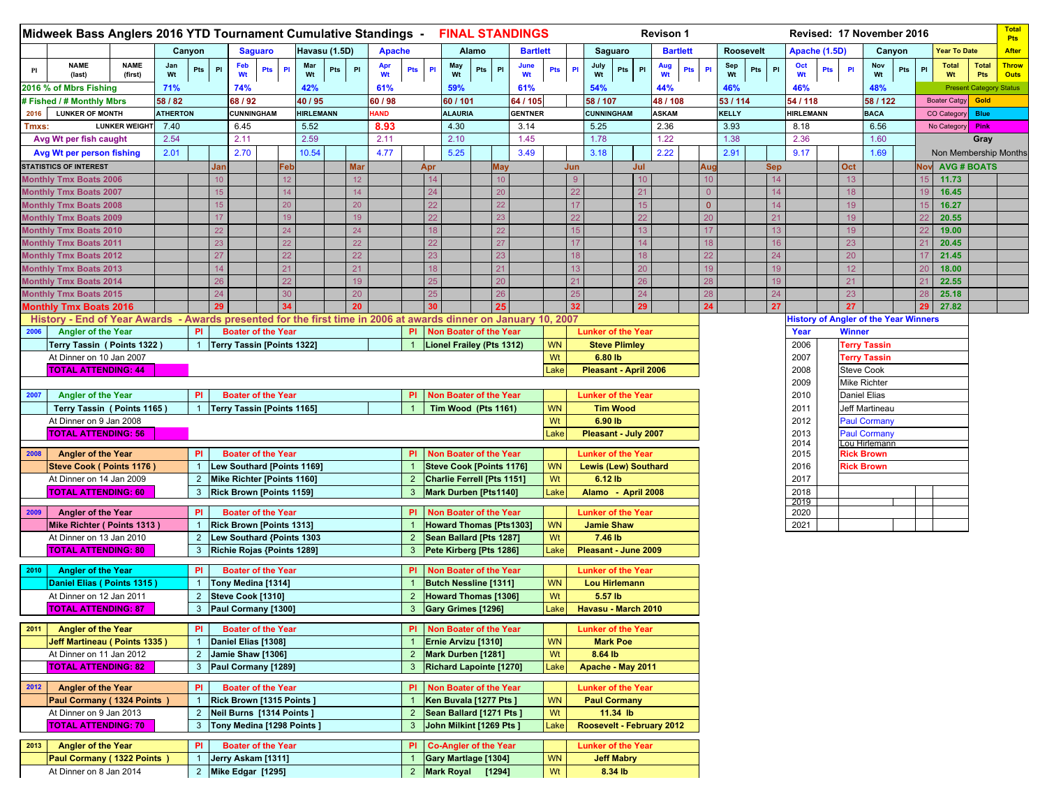|       | Midweek Bass Anglers 2016 YTD Tournament Cumulative Standings - FINAL STANDINGS                                                       |                        |                 |                |                        |                                                       |                |                 |                  |               |                  |                  |                                |     |                                                          |       |      |                 |                   |           |                                                |                      |                        | <b>Revison 1</b> |     |                        |          |                  |                  |               |               |                                    | Revised: 17 November 2016                    |     |                     |                            | <b>Total</b><br><b>Pts</b>     |
|-------|---------------------------------------------------------------------------------------------------------------------------------------|------------------------|-----------------|----------------|------------------------|-------------------------------------------------------|----------------|-----------------|------------------|---------------|------------------|------------------|--------------------------------|-----|----------------------------------------------------------|-------|------|-----------------|-------------------|-----------|------------------------------------------------|----------------------|------------------------|------------------|-----|------------------------|----------|------------------|------------------|---------------|---------------|------------------------------------|----------------------------------------------|-----|---------------------|----------------------------|--------------------------------|
|       |                                                                                                                                       |                        |                 | Canyon         |                        |                                                       | <b>Saguaro</b> |                 |                  | Havasu (1.5D) |                  | <b>Apache</b>    |                                |     |                                                          | Alamo |      | <b>Bartlett</b> |                   |           |                                                | Saguaro              |                        | <b>Bartlett</b>  |     |                        |          | <b>Roosevelt</b> |                  | Apache (1.5D) |               |                                    | Canyon                                       |     | Year To Date        |                            | <b>After</b>                   |
| Pl    | <b>NAME</b><br>(last)                                                                                                                 | <b>NAME</b><br>(first) | Jan<br>Wt       | Pts            | PI                     | Feb<br>Wt                                             | <b>Pts</b>     | P1              | Mar<br>Wt        | Pts           | P1               | Apr<br><b>Wt</b> | Pts                            | PI  | May<br>Wt                                                | Pts   | PI   | June<br>Wt      | Pts               | <b>PI</b> | July<br>Wt                                     | Pts                  | PI                     | Aug<br>Wt        | Pts | Sep<br><b>PI</b><br>Wt |          | Pts<br>P1        | Oct<br>Wt        | Pts           | P1            | Nov<br>Wt                          | Pts                                          | PI  | <b>Total</b><br>Wt  | <b>Total</b><br><b>Pts</b> | <b>Throw</b><br><b>Outs</b>    |
|       | 2016 % of Mbrs Fishing                                                                                                                |                        | 71%             |                |                        | 74%                                                   |                |                 | 42%              |               |                  | 61%              |                                |     | 59%                                                      |       |      | 61%             |                   |           | 54%                                            |                      |                        | 44%              |     |                        | 46%      |                  | 46%              |               |               | 48%                                |                                              |     |                     |                            | <b>Present Category Status</b> |
|       | # Fished / # Monthly Mbrs                                                                                                             |                        | 58 / 82         |                |                        | 68 / 92                                               |                |                 | 40 / 95          |               |                  | 60 / 98          |                                |     | 60 / 101                                                 |       |      | 64 / 105        |                   |           | 58 / 107                                       |                      |                        | 48 / 108         |     |                        | 53 / 114 |                  | 54 / 118         |               |               | 58 / 122                           |                                              |     | <b>Boater Catgy</b> | Gold                       |                                |
| 2016  | <b>LUNKER OF MONTH</b>                                                                                                                |                        | <b>ATHERTON</b> |                |                        | CUNNINGHAM                                            |                |                 | <b>HIRLEMANN</b> |               |                  | <b>IAND</b>      |                                |     | <b>ALAURIA</b>                                           |       |      | <b>GENTNER</b>  |                   |           | <b>CUNNINGHAM</b>                              |                      |                        | ASKAM            |     | KELLY                  |          |                  | <b>HIRLEMANN</b> |               |               | <b>BACA</b>                        |                                              |     | CO Categor          | <b>Blue</b>                |                                |
| Tmxs: |                                                                                                                                       | <b>LUNKER WEIGHT</b>   | 7.40            |                |                        | 6.45                                                  |                |                 | 5.52             |               |                  | 8.93             |                                |     | 4.30                                                     |       |      | 3.14            |                   |           | 5.25                                           |                      |                        | 2.36             |     | 3.93                   |          |                  | 8.18             |               |               | 6.56                               |                                              |     | No Category         | Pink                       |                                |
|       | Avg Wt per fish caught                                                                                                                |                        | 2.54            |                |                        | 2.11                                                  |                |                 | 2.59             |               |                  | 2.11             |                                |     | 2.10                                                     |       |      | 1.45            |                   |           | 1.78                                           |                      |                        | 1.22             |     |                        | 1.38     |                  | 2.36             |               |               | 1.60                               |                                              |     |                     | Gray                       |                                |
|       | Avg Wt per person fishing                                                                                                             |                        | 2.01            |                |                        | 2.70                                                  |                |                 | 10.54            |               |                  | 4.77             |                                |     | 5.25                                                     |       |      | 3.49            |                   |           | 3.18                                           |                      |                        | 2.22             |     | 2.91                   |          |                  | 9.17             |               |               | 1.69                               |                                              |     |                     |                            | Non Membership Months          |
|       | <b>STATISTICS OF INTEREST</b><br><b>Monthly Tmx Boats 2006</b>                                                                        |                        |                 |                | Jan<br>10 <sup>1</sup> |                                                       |                | Feb<br>12       |                  |               | <b>Mar</b><br>12 |                  |                                | Apr |                                                          |       | May  |                 |                   | Jun<br>-9 |                                                |                      | Jul<br>10 <sup>°</sup> |                  |     | Aug<br>10              |          | <b>Sep</b><br>14 |                  |               | Oct<br>13     |                                    |                                              | Nov |                     | <b>AVG # BOATS</b>         |                                |
|       | <b>Monthly Tmx Boats 2007</b>                                                                                                         |                        |                 |                | 15 <sup>15</sup>       |                                                       |                | 14 <sup>2</sup> |                  |               | 14               |                  |                                | 24  |                                                          |       |      |                 |                   | 22        |                                                |                      | 21                     |                  |     | $\overline{0}$         |          | 14               |                  |               | 18            |                                    |                                              |     | 11.73<br>16.45      |                            |                                |
|       | <b>Monthly Tmx Boats 2008</b>                                                                                                         |                        |                 |                | 15 <sub>15</sub>       |                                                       |                | 20              |                  |               | 20               |                  |                                | 22  |                                                          |       |      |                 |                   | 17        |                                                |                      | 15                     |                  |     | $\overline{0}$         |          | 14               |                  |               | 19            |                                    |                                              |     | 16.27               |                            |                                |
|       | <b>Monthly Tmx Boats 2009</b>                                                                                                         |                        |                 |                | 17                     |                                                       |                | 19              |                  |               | 19               |                  |                                |     |                                                          |       |      |                 |                   |           |                                                |                      | 22                     |                  |     | 20                     |          | 21               |                  |               | 19            |                                    |                                              |     | 20.55               |                            |                                |
|       | <b>Monthly Tmx Boats 2010</b>                                                                                                         |                        |                 |                | 22                     |                                                       |                | 24              |                  |               | 24               |                  |                                |     |                                                          |       |      |                 |                   | 15        |                                                |                      | 13                     |                  |     | 17                     |          | 13               |                  |               | 19            |                                    |                                              |     | 19.00               |                            |                                |
|       | <b>Monthly Tmx Boats 2011</b>                                                                                                         |                        |                 |                | 23                     |                                                       |                | 22              |                  |               | 22               |                  |                                | 22  |                                                          |       |      |                 |                   | 17        |                                                |                      | 14                     |                  |     | 18                     |          | 16               |                  |               | 23            |                                    |                                              |     | 20.45               |                            |                                |
|       | <b>Monthly Tmx Boats 2012</b>                                                                                                         |                        |                 |                | 27                     |                                                       |                | 22              |                  |               | 22               |                  |                                | 23  |                                                          |       |      |                 |                   | 18        |                                                |                      | 18                     |                  |     | 22                     |          | 24               |                  |               | 20            |                                    |                                              |     | 21.45               |                            |                                |
|       | <b>Monthly Tmx Boats 2013</b>                                                                                                         |                        |                 |                | 14                     |                                                       |                | 21              |                  |               | 21               |                  |                                |     |                                                          |       |      |                 |                   | 13        |                                                |                      | 20                     |                  |     | 19                     |          | 19               |                  |               | 12            |                                    |                                              |     | 18.00               |                            |                                |
|       | <b>Monthly Tmx Boats 2014</b>                                                                                                         |                        |                 |                | 26                     |                                                       |                | 22              |                  |               | 19               |                  |                                |     |                                                          |       |      |                 |                   | 21        |                                                |                      | 26                     |                  |     | 28                     |          | 19               |                  |               | 21            |                                    |                                              |     | 22.55               |                            |                                |
|       | <b>Monthly Tmx Boats 2015</b>                                                                                                         |                        |                 |                | 24                     |                                                       |                | 30              |                  |               | 20               |                  |                                |     |                                                          |       |      |                 |                   | 25        |                                                |                      | 24                     |                  |     | 28                     |          | 24               |                  |               | 23            |                                    |                                              |     | 25.18               |                            |                                |
|       | <b>Monthly Tmx Boats 2016</b>                                                                                                         |                        |                 |                | 29                     |                                                       |                |                 |                  |               | 20               |                  |                                |     |                                                          |       |      |                 |                   | 32        |                                                |                      | 29                     |                  |     | 24                     |          | 27               |                  |               | 27            |                                    |                                              |     | 27.82               |                            |                                |
| 2006  | History - End of Year Awards - Awards presented for the first time in 2006 at awards dinner on January 10, 2007<br>Angler of the Year |                        |                 | <b>PI</b>      |                        | <b>Boater of the Year</b>                             |                |                 |                  |               |                  |                  | PI.                            |     | Non Boater of the Year                                   |       |      |                 |                   |           | <b>Lunker of the Year</b>                      |                      |                        |                  |     |                        |          |                  |                  |               | <b>Winner</b> |                                    | <b>History of Angler of the Year Winners</b> |     |                     |                            |                                |
|       | Terry Tassin ( Points 1322)                                                                                                           |                        |                 | $\mathbf{1}$   |                        | <b>Terry Tassin [Points 1322]</b>                     |                |                 |                  |               |                  |                  |                                |     | Lionel Frailey (Pts 1312)                                |       |      |                 | <b>WN</b>         |           |                                                | <b>Steve Plimley</b> |                        |                  |     |                        |          |                  | Year<br>2006     |               |               | <b>Terry Tassin</b>                |                                              |     |                     |                            |                                |
|       | At Dinner on 10 Jan 2007                                                                                                              |                        |                 |                |                        |                                                       |                |                 |                  |               |                  |                  |                                |     |                                                          |       |      |                 | Wt                |           | 6.80 lb                                        |                      |                        |                  |     |                        |          |                  | 2007             |               |               | <b>Terry Tassin</b>                |                                              |     |                     |                            |                                |
|       | <b>TOTAL ATTENDING: 44</b>                                                                                                            |                        |                 |                |                        |                                                       |                |                 |                  |               |                  |                  |                                |     |                                                          |       |      |                 | Lake              |           | Pleasant - April 2006                          |                      |                        |                  |     |                        |          |                  | 2008             |               |               | <b>Steve Cook</b>                  |                                              |     |                     |                            |                                |
|       |                                                                                                                                       |                        |                 |                |                        |                                                       |                |                 |                  |               |                  |                  |                                |     |                                                          |       |      |                 |                   |           |                                                |                      |                        |                  |     |                        |          |                  | 2009             |               |               | <b>Mike Richter</b>                |                                              |     |                     |                            |                                |
| 2007  | <b>Angler of the Year</b>                                                                                                             |                        |                 | <b>PI</b>      |                        | <b>Boater of the Year</b>                             |                |                 |                  |               |                  |                  | PI                             |     | <b>Non Boater of the Year</b>                            |       |      |                 |                   |           | <b>Lunker of the Year</b>                      |                      |                        |                  |     |                        |          |                  | 2010             |               |               | <b>Daniel Elias</b>                |                                              |     |                     |                            |                                |
|       | Terry Tassin (Points 1165)                                                                                                            |                        |                 |                |                        | <b>Terry Tassin [Points 1165]</b>                     |                |                 |                  |               |                  |                  |                                |     | Tim Wood (Pts 1161)                                      |       |      |                 | <b>WN</b>         |           |                                                | <b>Tim Wood</b>      |                        |                  |     |                        |          |                  | 2011             |               |               | Jeff Martineau                     |                                              |     |                     |                            |                                |
|       | At Dinner on 9 Jan 2008                                                                                                               |                        |                 |                |                        |                                                       |                |                 |                  |               |                  |                  |                                |     |                                                          |       |      |                 | Wt                |           | 6.90 lb                                        |                      |                        |                  |     |                        |          |                  | 2012             |               |               | <b>Paul Cormany</b>                |                                              |     |                     |                            |                                |
|       | <b>TOTAL ATTENDING: 56</b>                                                                                                            |                        |                 |                |                        |                                                       |                |                 |                  |               |                  |                  |                                |     |                                                          |       |      |                 | Lake              |           | Pleasant - July 2007                           |                      |                        |                  |     |                        |          |                  | 2013             |               |               | <b>Paul Cormany</b>                |                                              |     |                     |                            |                                |
| 2008  | <b>Angler of the Year</b>                                                                                                             |                        |                 | PI             |                        | <b>Boater of the Year</b>                             |                |                 |                  |               |                  |                  | <b>PI</b>                      |     | Non Boater of the Year                                   |       |      |                 |                   |           | Lunker of the Year                             |                      |                        |                  |     |                        |          |                  | 2014<br>2015     |               |               | Lou Hirlemann<br><b>Rick Brown</b> |                                              |     |                     |                            |                                |
|       | Steve Cook (Points 1176)                                                                                                              |                        |                 |                |                        | Lew Southard [Points 1169]                            |                |                 |                  |               |                  |                  |                                |     | <b>Steve Cook [Points 1176]</b>                          |       |      |                 | <b>WN</b>         |           | <b>Lewis (Lew) Southard</b>                    |                      |                        |                  |     |                        |          |                  | 2016             |               |               | <b>Rick Brown</b>                  |                                              |     |                     |                            |                                |
|       | At Dinner on 14 Jan 2009                                                                                                              |                        |                 | $\overline{2}$ |                        | Mike Richter [Points 1160]                            |                |                 |                  |               |                  |                  | $2^{\circ}$                    |     | Charlie Ferrell [Pts 1151]                               |       |      |                 | Wt                |           | 6.12 lb                                        |                      |                        |                  |     |                        |          |                  | 2017             |               |               |                                    |                                              |     |                     |                            |                                |
|       | <b>TOTAL ATTENDING: 60</b>                                                                                                            |                        |                 | 3              |                        | <b>Rick Brown [Points 1159]</b>                       |                |                 |                  |               |                  |                  | 3                              |     | <b>Mark Durben [Pts1140]</b>                             |       |      |                 | Lake              |           | Alamo - April 2008                             |                      |                        |                  |     |                        |          |                  | 2018             |               |               |                                    |                                              |     |                     |                            |                                |
|       |                                                                                                                                       |                        |                 |                |                        |                                                       |                |                 |                  |               |                  |                  |                                |     |                                                          |       |      |                 |                   |           |                                                |                      |                        |                  |     |                        |          |                  | 2019             |               |               |                                    |                                              |     |                     |                            |                                |
| 2009  | <b>Angler of the Year</b><br>Mike Richter (Points 1313)                                                                               |                        |                 | PI             |                        | <b>Boater of the Year</b>                             |                |                 |                  |               |                  |                  | <b>PI</b>                      |     | Non Boater of the Year<br><b>Howard Thomas [Pts1303]</b> |       |      |                 | <b>WN</b>         |           | <b>Lunker of the Year</b><br><b>Jamie Shaw</b> |                      |                        |                  |     |                        |          |                  | 2020<br>2021     |               |               |                                    |                                              |     |                     |                            |                                |
|       | At Dinner on 13 Jan 2010                                                                                                              |                        |                 | $\overline{2}$ |                        | Rick Brown [Points 1313]<br>Lew Southard {Points 1303 |                |                 |                  |               |                  |                  | $2^{\circ}$                    |     | Sean Ballard [Pts 1287]                                  |       |      |                 | Wt                |           | 7.46 lb                                        |                      |                        |                  |     |                        |          |                  |                  |               |               |                                    |                                              |     |                     |                            |                                |
|       | <b>TOTAL ATTENDING: 80</b>                                                                                                            |                        |                 | 3              |                        | Richie Rojas {Points 1289]                            |                |                 |                  |               |                  |                  | 3                              |     | Pete Kirberg [Pts 1286]                                  |       |      |                 | Lake              |           | Pleasant - June 2009                           |                      |                        |                  |     |                        |          |                  |                  |               |               |                                    |                                              |     |                     |                            |                                |
|       |                                                                                                                                       |                        |                 |                |                        |                                                       |                |                 |                  |               |                  |                  |                                |     |                                                          |       |      |                 |                   |           |                                                |                      |                        |                  |     |                        |          |                  |                  |               |               |                                    |                                              |     |                     |                            |                                |
| 2010  | <b>Angler of the Year</b>                                                                                                             |                        |                 | <b>PI</b>      |                        | <b>Boater of the Year</b>                             |                |                 |                  |               |                  |                  | PI.                            |     | <b>Non Boater of the Year</b>                            |       |      |                 |                   |           | <b>Lunker of the Year</b>                      |                      |                        |                  |     |                        |          |                  |                  |               |               |                                    |                                              |     |                     |                            |                                |
|       | Daniel Elias (Points 1315)                                                                                                            |                        |                 | $\mathbf{1}$   |                        | Tony Medina [1314]                                    |                |                 |                  |               |                  |                  |                                |     | <b>Butch Nessline [1311]</b>                             |       |      |                 | <b>WN</b>         |           | Lou Hirlemann                                  |                      |                        |                  |     |                        |          |                  |                  |               |               |                                    |                                              |     |                     |                            |                                |
|       | At Dinner on 12 Jan 2011                                                                                                              |                        |                 | $\overline{2}$ |                        | Steve Cook [1310]<br>Paul Cormany [1300]              |                |                 |                  |               |                  |                  | $2^{\circ}$                    |     | Howard Thomas [1306]                                     |       |      |                 | Wt<br>Lake        |           | 5.57 lb                                        |                      |                        |                  |     |                        |          |                  |                  |               |               |                                    |                                              |     |                     |                            |                                |
|       | <b>TOTAL ATTENDING: 87</b>                                                                                                            |                        |                 |                |                        |                                                       |                |                 |                  |               |                  |                  | 3 <sup>2</sup>                 |     | Gary Grimes [1296]                                       |       |      |                 |                   |           | Havasu - March 2010                            |                      |                        |                  |     |                        |          |                  |                  |               |               |                                    |                                              |     |                     |                            |                                |
| 2011  | <b>Angler of the Year</b>                                                                                                             |                        |                 | PI             |                        | <b>Boater of the Year</b>                             |                |                 |                  |               |                  |                  | PI.                            |     | Non Boater of the Year                                   |       |      |                 |                   |           | <b>Lunker of the Year</b>                      |                      |                        |                  |     |                        |          |                  |                  |               |               |                                    |                                              |     |                     |                            |                                |
|       | <b>Jeff Martineau (Points 1335)</b>                                                                                                   |                        |                 | $\mathbf{1}$   |                        | Daniel Elias [1308]                                   |                |                 |                  |               |                  |                  |                                |     | Ernie Arvizu [1310]                                      |       |      |                 | <b>WN</b>         |           |                                                | <b>Mark Poe</b>      |                        |                  |     |                        |          |                  |                  |               |               |                                    |                                              |     |                     |                            |                                |
|       | At Dinner on 11 Jan 2012                                                                                                              |                        |                 | $\overline{2}$ |                        | Jamie Shaw [1306]                                     |                |                 |                  |               |                  |                  | $\overline{2}$                 |     | Mark Durben [1281]                                       |       |      |                 | Wt                |           | 8.64 lb                                        |                      |                        |                  |     |                        |          |                  |                  |               |               |                                    |                                              |     |                     |                            |                                |
|       | <b>TOTAL ATTENDING: 82</b><br>$\mathbf{3}$<br>Paul Cormany [1289]                                                                     |                        |                 |                |                        |                                                       |                |                 |                  |               | 3                |                  | <b>Richard Lapointe [1270]</b> |     |                                                          |       | Lake |                 | Apache - May 2011 |           |                                                |                      |                        |                  |     |                        |          |                  |                  |               |               |                                    |                                              |     |                     |                            |                                |
| 2012  | <b>Angler of the Year</b>                                                                                                             |                        |                 | PI             |                        | <b>Boater of the Year</b>                             |                |                 |                  |               |                  |                  | PI                             |     | Non Boater of the Year                                   |       |      |                 |                   |           | Lunker of the Year                             |                      |                        |                  |     |                        |          |                  |                  |               |               |                                    |                                              |     |                     |                            |                                |
|       | Paul Cormany (1324 Points)                                                                                                            |                        |                 |                |                        | Rick Brown [1315 Points]                              |                |                 |                  |               |                  |                  |                                |     | Ken Buvala [1277 Pts ]                                   |       |      |                 | <b>WN</b>         |           | <b>Paul Cormany</b>                            |                      |                        |                  |     |                        |          |                  |                  |               |               |                                    |                                              |     |                     |                            |                                |
|       | At Dinner on 9 Jan 2013                                                                                                               |                        |                 | $\overline{2}$ |                        | Neil Burns [1314 Points]                              |                |                 |                  |               |                  |                  | $2^{\circ}$                    |     | Sean Ballard [1271 Pts]                                  |       |      |                 | Wt                |           |                                                | $11.34$ lb           |                        |                  |     |                        |          |                  |                  |               |               |                                    |                                              |     |                     |                            |                                |
|       | <b>TOTAL ATTENDING: 70</b>                                                                                                            |                        |                 | 3              |                        | Tony Medina [1298 Points]                             |                |                 |                  |               |                  |                  | 3                              |     | John Milkint [1269 Pts ]                                 |       |      |                 | Lake              |           | Roosevelt - February 2012                      |                      |                        |                  |     |                        |          |                  |                  |               |               |                                    |                                              |     |                     |                            |                                |
| 2013  | <b>Angler of the Year</b>                                                                                                             |                        |                 | PI             |                        | <b>Boater of the Year</b>                             |                |                 |                  |               |                  |                  | PI.                            |     | <b>Co-Angler of the Year</b>                             |       |      |                 |                   |           | <b>Lunker of the Year</b>                      |                      |                        |                  |     |                        |          |                  |                  |               |               |                                    |                                              |     |                     |                            |                                |
|       | Paul Cormany (1322 Points                                                                                                             |                        |                 | $\mathbf{1}$   |                        | Jerry Askam [1311]                                    |                |                 |                  |               |                  |                  |                                |     | Gary Martlage [1304]                                     |       |      |                 | <b>WN</b>         |           |                                                | <b>Jeff Mabry</b>    |                        |                  |     |                        |          |                  |                  |               |               |                                    |                                              |     |                     |                            |                                |
|       | At Dinner on 8 Jan 2014                                                                                                               |                        |                 | $\overline{2}$ |                        | Mike Edgar [1295]                                     |                |                 |                  |               |                  |                  |                                |     | 2 Mark Royal [1294]                                      |       |      |                 | Wt                |           |                                                | 8.34 lb              |                        |                  |     |                        |          |                  |                  |               |               |                                    |                                              |     |                     |                            |                                |
|       |                                                                                                                                       |                        |                 |                |                        |                                                       |                |                 |                  |               |                  |                  |                                |     |                                                          |       |      |                 |                   |           |                                                |                      |                        |                  |     |                        |          |                  |                  |               |               |                                    |                                              |     |                     |                            |                                |